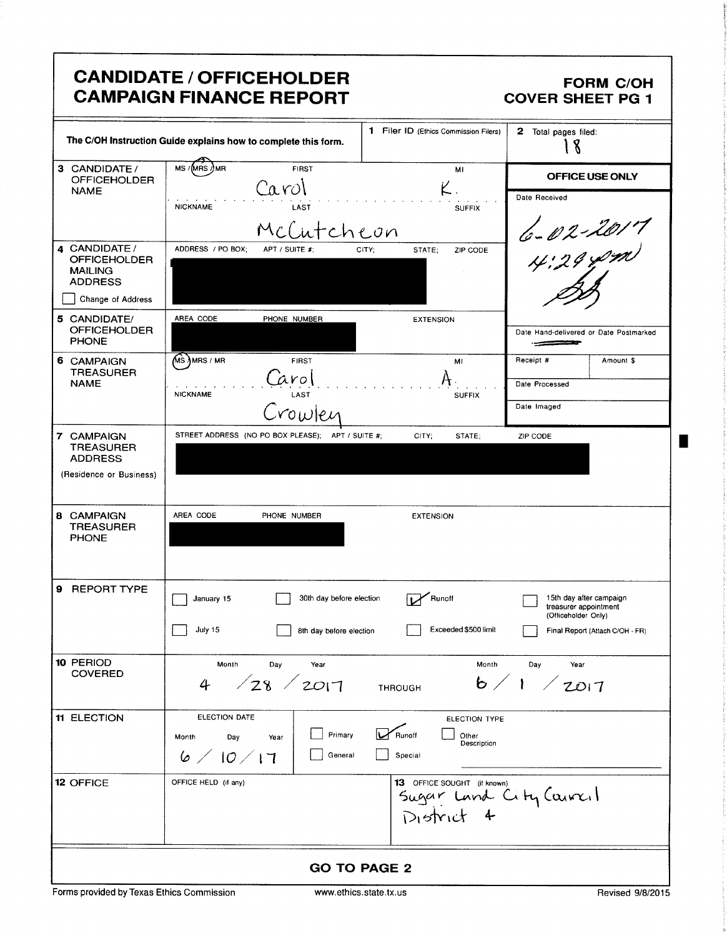|                                                                          | <b>CANDIDATE / OFFICEHOLDER</b><br><b>CAMPAIGN FINANCE REPORT</b> |                                                                      | <b>FORM C/OH</b><br><b>COVER SHEET PG 1</b>                             |
|--------------------------------------------------------------------------|-------------------------------------------------------------------|----------------------------------------------------------------------|-------------------------------------------------------------------------|
|                                                                          | The C/OH Instruction Guide explains how to complete this form.    | 1 Filer ID (Ethics Commission Filers)                                | 2 Total pages filed:<br>  8                                             |
| 3 CANDIDATE /<br><b>OFFICEHOLDER</b>                                     | MS /(MRS /) MR<br><b>FIRST</b><br>Carol                           | MI                                                                   | OFFICE USE ONLY                                                         |
| <b>NAME</b>                                                              | <b>NICKNAME</b><br>LAST<br>McCutcheon                             | <b>SUFFIX</b>                                                        | Date Received                                                           |
| 4 CANDIDATE /<br><b>OFFICEHOLDER</b><br><b>MAILING</b><br><b>ADDRESS</b> | ADDRESS / PO BOX:<br>APT / SUITE #:                               | STATE;<br>ZIP CODE<br>CITY;                                          |                                                                         |
| Change of Address                                                        |                                                                   |                                                                      |                                                                         |
| 5 CANDIDATE/<br><b>OFFICEHOLDER</b><br><b>PHONE</b>                      | AREA CODE<br>PHONE NUMBER                                         | <b>EXTENSION</b>                                                     | Date Hand-delivered or Date Postmarked                                  |
| 6 CAMPAIGN<br><b>TREASURER</b>                                           | $\sqrt{MS}$ MRS / MR<br><b>FIRST</b>                              | MI                                                                   | Receipt #<br>Amount \$                                                  |
| <b>NAME</b>                                                              | arol<br>LAST<br><b>NICKNAME</b>                                   | <b>SUFFIX</b>                                                        | Date Processed                                                          |
|                                                                          | rowler                                                            |                                                                      | Date Imaged                                                             |
| 7 CAMPAIGN<br><b>TREASURER</b>                                           | STREET ADDRESS (NO PO BOX PLEASE); APT / SUITE #;                 | CITY;<br>STATE;                                                      | ZIP CODE                                                                |
| <b>ADDRESS</b><br>(Residence or Business)                                |                                                                   |                                                                      |                                                                         |
| 8 CAMPAIGN<br><b>TREASURER</b><br><b>PHONE</b>                           | AREA CODE<br>PHONE NUMBER                                         | <b>EXTENSION</b>                                                     |                                                                         |
| 9 REPORT TYPE                                                            | 30th day before election<br>January 15                            | Runoff                                                               | 15th day after campaign<br>treasurer appointment<br>(Officeholder Only) |
|                                                                          | July 15<br>8th day before election                                | Exceeded \$500 limit                                                 | Final Report (Attach C/OH - FR)                                         |
| 10 PERIOD<br><b>COVERED</b>                                              | Month<br>Day<br>Year<br>128/2017<br>4                             | Month<br><b>THROUGH</b>                                              | Day<br>Year<br>6/1 / 2017                                               |
| <b>11 ELECTION</b>                                                       | ELECTION DATE                                                     | <b>ELECTION TYPE</b>                                                 |                                                                         |
|                                                                          | Primary<br>Month<br>Day<br>Year<br>6/10/17<br>General             | Runoff<br>Other<br>Description<br>Special                            |                                                                         |
| <b>12 OFFICE</b>                                                         | OFFICE HELD (if any)                                              | 13 OFFICE SOUGHT (if known)<br>Sugar Land City Council<br>District 4 |                                                                         |
| <b>GO TO PAGE 2</b>                                                      |                                                                   |                                                                      |                                                                         |

Forms provided by Texas Ethics Commission www.ethics.state.tx.us Revised 9/8/2015

٠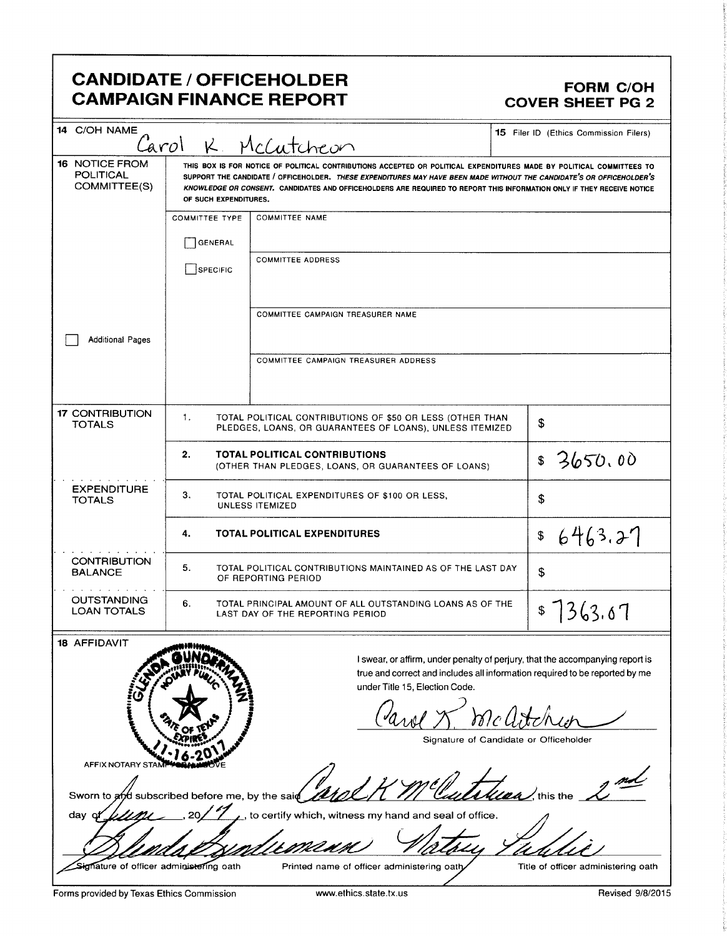# CANDIDATE / OFFICEHOLDER<br>CAMPAIGN FINANCE REPORT CAMPAIGN FORM COVER SHEET PG 2 **CAMPAIGN FINANCE REPORT**

| <b>CANDIDATE / OFFICEHOLDER</b><br>FORM C/OH<br>COVER SHEET PG 2<br><b>CAMPAIGN FINANCE REPORT</b><br>14 C/OH NAME<br>15 Filer ID (Ethics Commission Filers)<br>Carol K. McCutcheon<br>16 NOTICE FROM<br>POLITICAL<br>COMMITTEE(S)<br>THIS BOX IS FOR NOTICE OF POLITICAL CONTRIBUTIONS ACCEPTED OR POLITICAL EXPENDITURES MADE BY POLITICAL COMMITTEES TO<br>SUPPORT THE CANDIDATE / OFFICEHOLDER. THESE EXPENDITURES MAY HAVE BEEN MADE WITHOUT THE CANDIDATE'S OR OFFICEHOLDER'S<br>KNOWLEDGE OR CONSENT. CANDIDATES AND OFFICEHOLDERS ARE REQUIRED TO REPORT THIS INFORMATION ONLY IF THEY RECEIVE NOTICE<br>OF SUCH EXPENDITURES.<br>COMMITTEE TYPE COMMITTEE NAME<br>GENERAL<br>SPECIFIC COMMITTEE ADDRESS<br>COMMITTEE CAMPAIGN TREASURER NAME<br>Additional Pages<br>COMMITTEE CAMPAIGN TREASURER ADDRESS<br>17 CONTRIBUTION<br>TOTALS<br>TOTAL POLITICAL CONTRIBUTIONS OF \$50 OR LESS (OTHER THAN<br>PLEDGES, LOANS, OR GUARANTEES OF LOANS), UNLESS ITEMIZED<br><b>TOTAL POLITICAL CONTRIBUTIONS</b><br>\$ 3650.00<br>(OTHER THAN PLEDGES, LOANS, OR GUARANTEES OF LOANS)<br>EXPENDITURE<br>TOTALS<br>TOTAL POLITICAL EXPENDITURES OF \$100 OR LESS,<br>UNLESS ITEMIZED<br>\$6463.27<br><b>TOTAL POLITICAL EXPENDITURES</b><br><b>CONTRIBUTION</b><br>BALANCE<br>TOTAL POLITICAL CONTRIBUTIONS MAINTAINED AS OF THE LAST DAY<br>OUTSTANDING<br>LOAN TOTALS<br>  \$7363.07<br>TOTAL PRINCIPAL AMOUNT OF ALL OUTSTANDING LOANS AS OF THE<br>18 AFFIDAVIT<br><b>COLINDARY</b><br>I swear, or affirm, under penalty of perjury, that the accompanying report is<br>true and correct and includes all information required to be reported by me<br>under Title 15, Election Code.<br>AFFIX NOTARY STANDARD<br>Carol & mcatchen<br>Signature of Candidate or Officeholder<br>Sworn to and subscribed before me, by the said and HM Cluttuan, this the<br>day of $\mu\mu\mu$ , 20/17, to certify which, witness my hand and seal of office.<br>Blendalssallemenn Vatory Tablic<br>Printed name of officer administering oath<br>Title of officer administering oath<br>Signature of officer administering oath<br>Forms provided by Texas Ethics Commission<br>Revised 9/8/2015<br>www.ethics.state.tx.us |  |
|---------------------------------------------------------------------------------------------------------------------------------------------------------------------------------------------------------------------------------------------------------------------------------------------------------------------------------------------------------------------------------------------------------------------------------------------------------------------------------------------------------------------------------------------------------------------------------------------------------------------------------------------------------------------------------------------------------------------------------------------------------------------------------------------------------------------------------------------------------------------------------------------------------------------------------------------------------------------------------------------------------------------------------------------------------------------------------------------------------------------------------------------------------------------------------------------------------------------------------------------------------------------------------------------------------------------------------------------------------------------------------------------------------------------------------------------------------------------------------------------------------------------------------------------------------------------------------------------------------------------------------------------------------------------------------------------------------------------------------------------------------------------------------------------------------------------------------------------------------------------------------------------------------------------------------------------------------------------------------------------------------------------------------------------------------------------------------------------------------------------------------------------------------------------------------------------------------------|--|
|                                                                                                                                                                                                                                                                                                                                                                                                                                                                                                                                                                                                                                                                                                                                                                                                                                                                                                                                                                                                                                                                                                                                                                                                                                                                                                                                                                                                                                                                                                                                                                                                                                                                                                                                                                                                                                                                                                                                                                                                                                                                                                                                                                                                               |  |
|                                                                                                                                                                                                                                                                                                                                                                                                                                                                                                                                                                                                                                                                                                                                                                                                                                                                                                                                                                                                                                                                                                                                                                                                                                                                                                                                                                                                                                                                                                                                                                                                                                                                                                                                                                                                                                                                                                                                                                                                                                                                                                                                                                                                               |  |
|                                                                                                                                                                                                                                                                                                                                                                                                                                                                                                                                                                                                                                                                                                                                                                                                                                                                                                                                                                                                                                                                                                                                                                                                                                                                                                                                                                                                                                                                                                                                                                                                                                                                                                                                                                                                                                                                                                                                                                                                                                                                                                                                                                                                               |  |
|                                                                                                                                                                                                                                                                                                                                                                                                                                                                                                                                                                                                                                                                                                                                                                                                                                                                                                                                                                                                                                                                                                                                                                                                                                                                                                                                                                                                                                                                                                                                                                                                                                                                                                                                                                                                                                                                                                                                                                                                                                                                                                                                                                                                               |  |
|                                                                                                                                                                                                                                                                                                                                                                                                                                                                                                                                                                                                                                                                                                                                                                                                                                                                                                                                                                                                                                                                                                                                                                                                                                                                                                                                                                                                                                                                                                                                                                                                                                                                                                                                                                                                                                                                                                                                                                                                                                                                                                                                                                                                               |  |
|                                                                                                                                                                                                                                                                                                                                                                                                                                                                                                                                                                                                                                                                                                                                                                                                                                                                                                                                                                                                                                                                                                                                                                                                                                                                                                                                                                                                                                                                                                                                                                                                                                                                                                                                                                                                                                                                                                                                                                                                                                                                                                                                                                                                               |  |
|                                                                                                                                                                                                                                                                                                                                                                                                                                                                                                                                                                                                                                                                                                                                                                                                                                                                                                                                                                                                                                                                                                                                                                                                                                                                                                                                                                                                                                                                                                                                                                                                                                                                                                                                                                                                                                                                                                                                                                                                                                                                                                                                                                                                               |  |
|                                                                                                                                                                                                                                                                                                                                                                                                                                                                                                                                                                                                                                                                                                                                                                                                                                                                                                                                                                                                                                                                                                                                                                                                                                                                                                                                                                                                                                                                                                                                                                                                                                                                                                                                                                                                                                                                                                                                                                                                                                                                                                                                                                                                               |  |
|                                                                                                                                                                                                                                                                                                                                                                                                                                                                                                                                                                                                                                                                                                                                                                                                                                                                                                                                                                                                                                                                                                                                                                                                                                                                                                                                                                                                                                                                                                                                                                                                                                                                                                                                                                                                                                                                                                                                                                                                                                                                                                                                                                                                               |  |
|                                                                                                                                                                                                                                                                                                                                                                                                                                                                                                                                                                                                                                                                                                                                                                                                                                                                                                                                                                                                                                                                                                                                                                                                                                                                                                                                                                                                                                                                                                                                                                                                                                                                                                                                                                                                                                                                                                                                                                                                                                                                                                                                                                                                               |  |
|                                                                                                                                                                                                                                                                                                                                                                                                                                                                                                                                                                                                                                                                                                                                                                                                                                                                                                                                                                                                                                                                                                                                                                                                                                                                                                                                                                                                                                                                                                                                                                                                                                                                                                                                                                                                                                                                                                                                                                                                                                                                                                                                                                                                               |  |
|                                                                                                                                                                                                                                                                                                                                                                                                                                                                                                                                                                                                                                                                                                                                                                                                                                                                                                                                                                                                                                                                                                                                                                                                                                                                                                                                                                                                                                                                                                                                                                                                                                                                                                                                                                                                                                                                                                                                                                                                                                                                                                                                                                                                               |  |
|                                                                                                                                                                                                                                                                                                                                                                                                                                                                                                                                                                                                                                                                                                                                                                                                                                                                                                                                                                                                                                                                                                                                                                                                                                                                                                                                                                                                                                                                                                                                                                                                                                                                                                                                                                                                                                                                                                                                                                                                                                                                                                                                                                                                               |  |
|                                                                                                                                                                                                                                                                                                                                                                                                                                                                                                                                                                                                                                                                                                                                                                                                                                                                                                                                                                                                                                                                                                                                                                                                                                                                                                                                                                                                                                                                                                                                                                                                                                                                                                                                                                                                                                                                                                                                                                                                                                                                                                                                                                                                               |  |
|                                                                                                                                                                                                                                                                                                                                                                                                                                                                                                                                                                                                                                                                                                                                                                                                                                                                                                                                                                                                                                                                                                                                                                                                                                                                                                                                                                                                                                                                                                                                                                                                                                                                                                                                                                                                                                                                                                                                                                                                                                                                                                                                                                                                               |  |
|                                                                                                                                                                                                                                                                                                                                                                                                                                                                                                                                                                                                                                                                                                                                                                                                                                                                                                                                                                                                                                                                                                                                                                                                                                                                                                                                                                                                                                                                                                                                                                                                                                                                                                                                                                                                                                                                                                                                                                                                                                                                                                                                                                                                               |  |
|                                                                                                                                                                                                                                                                                                                                                                                                                                                                                                                                                                                                                                                                                                                                                                                                                                                                                                                                                                                                                                                                                                                                                                                                                                                                                                                                                                                                                                                                                                                                                                                                                                                                                                                                                                                                                                                                                                                                                                                                                                                                                                                                                                                                               |  |
|                                                                                                                                                                                                                                                                                                                                                                                                                                                                                                                                                                                                                                                                                                                                                                                                                                                                                                                                                                                                                                                                                                                                                                                                                                                                                                                                                                                                                                                                                                                                                                                                                                                                                                                                                                                                                                                                                                                                                                                                                                                                                                                                                                                                               |  |
|                                                                                                                                                                                                                                                                                                                                                                                                                                                                                                                                                                                                                                                                                                                                                                                                                                                                                                                                                                                                                                                                                                                                                                                                                                                                                                                                                                                                                                                                                                                                                                                                                                                                                                                                                                                                                                                                                                                                                                                                                                                                                                                                                                                                               |  |
|                                                                                                                                                                                                                                                                                                                                                                                                                                                                                                                                                                                                                                                                                                                                                                                                                                                                                                                                                                                                                                                                                                                                                                                                                                                                                                                                                                                                                                                                                                                                                                                                                                                                                                                                                                                                                                                                                                                                                                                                                                                                                                                                                                                                               |  |
|                                                                                                                                                                                                                                                                                                                                                                                                                                                                                                                                                                                                                                                                                                                                                                                                                                                                                                                                                                                                                                                                                                                                                                                                                                                                                                                                                                                                                                                                                                                                                                                                                                                                                                                                                                                                                                                                                                                                                                                                                                                                                                                                                                                                               |  |
|                                                                                                                                                                                                                                                                                                                                                                                                                                                                                                                                                                                                                                                                                                                                                                                                                                                                                                                                                                                                                                                                                                                                                                                                                                                                                                                                                                                                                                                                                                                                                                                                                                                                                                                                                                                                                                                                                                                                                                                                                                                                                                                                                                                                               |  |
|                                                                                                                                                                                                                                                                                                                                                                                                                                                                                                                                                                                                                                                                                                                                                                                                                                                                                                                                                                                                                                                                                                                                                                                                                                                                                                                                                                                                                                                                                                                                                                                                                                                                                                                                                                                                                                                                                                                                                                                                                                                                                                                                                                                                               |  |
|                                                                                                                                                                                                                                                                                                                                                                                                                                                                                                                                                                                                                                                                                                                                                                                                                                                                                                                                                                                                                                                                                                                                                                                                                                                                                                                                                                                                                                                                                                                                                                                                                                                                                                                                                                                                                                                                                                                                                                                                                                                                                                                                                                                                               |  |
|                                                                                                                                                                                                                                                                                                                                                                                                                                                                                                                                                                                                                                                                                                                                                                                                                                                                                                                                                                                                                                                                                                                                                                                                                                                                                                                                                                                                                                                                                                                                                                                                                                                                                                                                                                                                                                                                                                                                                                                                                                                                                                                                                                                                               |  |
|                                                                                                                                                                                                                                                                                                                                                                                                                                                                                                                                                                                                                                                                                                                                                                                                                                                                                                                                                                                                                                                                                                                                                                                                                                                                                                                                                                                                                                                                                                                                                                                                                                                                                                                                                                                                                                                                                                                                                                                                                                                                                                                                                                                                               |  |
|                                                                                                                                                                                                                                                                                                                                                                                                                                                                                                                                                                                                                                                                                                                                                                                                                                                                                                                                                                                                                                                                                                                                                                                                                                                                                                                                                                                                                                                                                                                                                                                                                                                                                                                                                                                                                                                                                                                                                                                                                                                                                                                                                                                                               |  |
|                                                                                                                                                                                                                                                                                                                                                                                                                                                                                                                                                                                                                                                                                                                                                                                                                                                                                                                                                                                                                                                                                                                                                                                                                                                                                                                                                                                                                                                                                                                                                                                                                                                                                                                                                                                                                                                                                                                                                                                                                                                                                                                                                                                                               |  |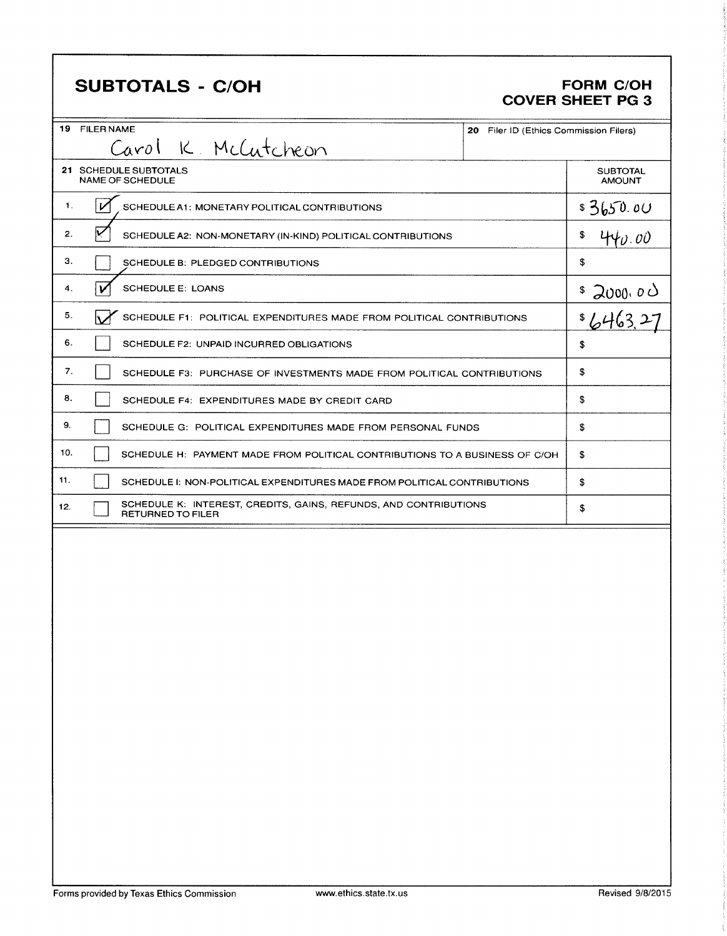# **SUBTOTALS - C/OH**

### **FORM C/OH COVER SHEET PG 3**

| 19 FILER NAME       | 20 Filer ID (Ethics Commission Filers)                                                       |  |                                  |  |
|---------------------|----------------------------------------------------------------------------------------------|--|----------------------------------|--|
| Carol K. McCutcheon |                                                                                              |  |                                  |  |
|                     | 21 SCHEDULE SUBTOTALS<br><b>NAME OF SCHEDULE</b>                                             |  | <b>SUBTOTAL</b><br><b>AMOUNT</b> |  |
| $\mathbf{1}$ .      | SCHEDULE A1: MONETARY POLITICAL CONTRIBUTIONS                                                |  | \$3650.00                        |  |
| 2.                  | SCHEDULE A2: NON-MONETARY (IN-KIND) POLITICAL CONTRIBUTIONS                                  |  | \$<br>440.00                     |  |
| 3.                  | SCHEDULE B: PLEDGED CONTRIBUTIONS                                                            |  | \$                               |  |
| 4.                  | <b>SCHEDULE E: LOANS</b>                                                                     |  | \$2000.00                        |  |
| 5.                  | SCHEDULE F1: POLITICAL EXPENDITURES MADE FROM POLITICAL CONTRIBUTIONS                        |  | 5/463                            |  |
| 6.                  | SCHEDULE F2: UNPAID INCURRED OBLIGATIONS                                                     |  | \$                               |  |
| 7.                  | SCHEDULE F3: PURCHASE OF INVESTMENTS MADE FROM POLITICAL CONTRIBUTIONS                       |  | \$                               |  |
| 8.                  | SCHEDULE F4: EXPENDITURES MADE BY CREDIT CARD                                                |  | \$                               |  |
| 9.                  | SCHEDULE G: POLITICAL EXPENDITURES MADE FROM PERSONAL FUNDS                                  |  | \$                               |  |
| 10.                 | SCHEDULE H: PAYMENT MADE FROM POLITICAL CONTRIBUTIONS TO A BUSINESS OF C/OH                  |  | \$                               |  |
| 11.                 | SCHEDULE I: NON-POLITICAL EXPENDITURES MADE FROM POLITICAL CONTRIBUTIONS                     |  | \$                               |  |
| 12.                 | SCHEDULE K: INTEREST, CREDITS, GAINS, REFUNDS, AND CONTRIBUTIONS<br><b>RETURNED TO FILER</b> |  | \$                               |  |
|                     |                                                                                              |  |                                  |  |
|                     |                                                                                              |  |                                  |  |
|                     |                                                                                              |  |                                  |  |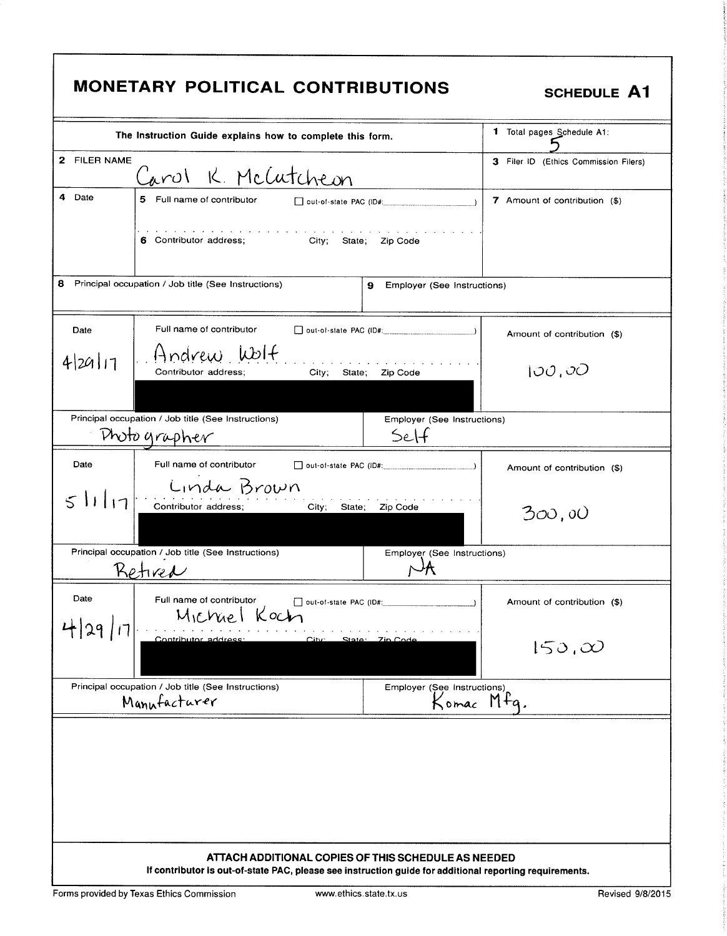| <b>MONETARY POLITICAL CONTRIBUTIONS</b><br><b>SCHEDULE A1</b>                        |                                                                                                         |                                                        |                                                     |                                       |
|--------------------------------------------------------------------------------------|---------------------------------------------------------------------------------------------------------|--------------------------------------------------------|-----------------------------------------------------|---------------------------------------|
|                                                                                      | The Instruction Guide explains how to complete this form.                                               |                                                        |                                                     | 1 Total pages Schedule A1:            |
| 2 FILER NAME                                                                         | Carol K. McCutcheon                                                                                     |                                                        |                                                     | 3 Filer ID (Ethics Commission Filers) |
| 4 Date                                                                               | 5 Full name of contributor                                                                              |                                                        | $\Box$ out-of-state PAC (ID#:                       | 7 Amount of contribution (\$)         |
|                                                                                      | 6 Contributor address; City; State;                                                                     | المتحام والمتحام والمتحام والمتحام والمتحام والمتحامية | Zip Code                                            |                                       |
| 8                                                                                    | Principal occupation / Job title (See Instructions)                                                     |                                                        | 9<br>Employer (See Instructions)                    |                                       |
| Date                                                                                 | Full name of contributor                                                                                |                                                        | $\Box$ out-of-state PAC (ID#: $\Box$ )              | Amount of contribution (\$)           |
| 429111                                                                               | Andrew Wolf<br>Contributor address;                                                                     | City; State;                                           | Zip Code                                            | 100,00                                |
|                                                                                      |                                                                                                         |                                                        |                                                     |                                       |
|                                                                                      | Principal occupation / Job title (See Instructions)<br>Photographer                                     |                                                        | Employer (See Instructions)<br>SeH                  |                                       |
| Date                                                                                 | Full name of contributor                                                                                |                                                        |                                                     | Amount of contribution (\$)           |
| 51117                                                                                | Linda Brown<br>Contributor address;                                                                     | <b>City;</b><br>State;                                 | Zip Code                                            | 300,00                                |
|                                                                                      | Principal occupation / Job title (See Instructions)<br>Kotived                                          |                                                        | Employer (See Instructions)                         |                                       |
| Date                                                                                 | Full name of contributor<br>Michael Koch                                                                |                                                        |                                                     | Amount of contribution (\$)           |
| 4 29 <br>Contributor address:<br>$C$ itv $\cdot$<br>State: 7in Code<br>$150, \infty$ |                                                                                                         |                                                        |                                                     |                                       |
|                                                                                      | Principal occupation / Job title (See Instructions)<br>Manufacturer                                     |                                                        | Employer (See Instructions)<br>Komac Mfq.           |                                       |
|                                                                                      |                                                                                                         |                                                        | ATTACH ADDITIONAL COPIES OF THIS SCHEDULE AS NEEDED |                                       |
|                                                                                      | If contributor is out-of-state PAC, please see instruction guide for additional reporting requirements. |                                                        |                                                     |                                       |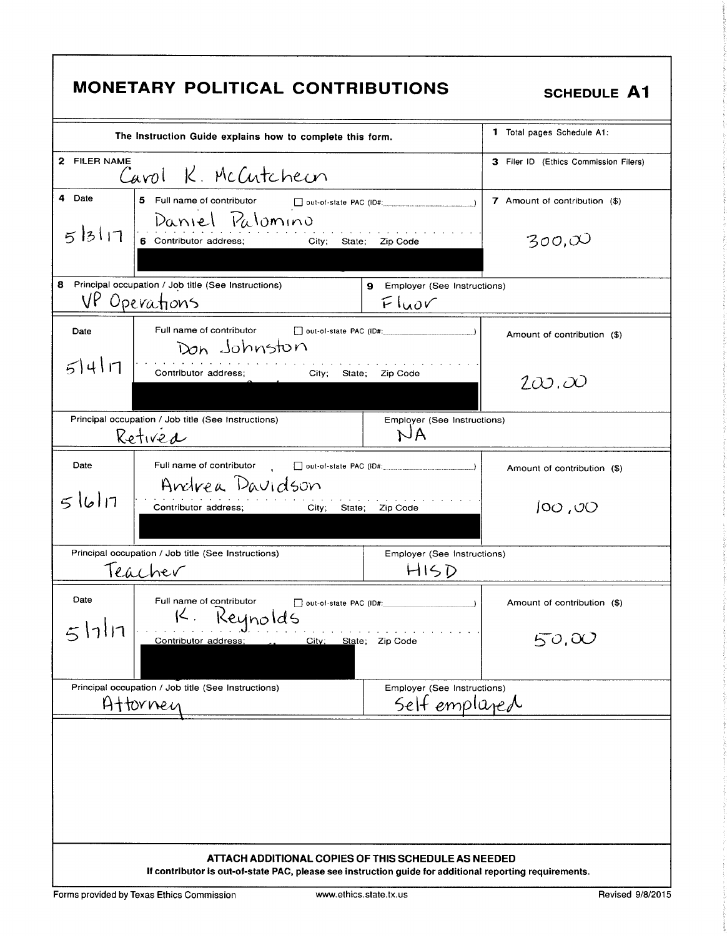| <b>MONETARY POLITICAL CONTRIBUTIONS</b><br><b>SCHEDULE A1</b>                                                                                                  |                                                                        |                                              |                                       |  |
|----------------------------------------------------------------------------------------------------------------------------------------------------------------|------------------------------------------------------------------------|----------------------------------------------|---------------------------------------|--|
|                                                                                                                                                                | The Instruction Guide explains how to complete this form.              |                                              | <b>1</b> Total pages Schedule A1:     |  |
| 2 FILER NAME                                                                                                                                                   | Carol K. McCutcheon                                                    |                                              | 3 Filer ID (Ethics Commission Filers) |  |
| 4 Date                                                                                                                                                         | 5 Full name of contributor                                             | out-of-state PAC (ID#:                       | 7 Amount of contribution (\$)         |  |
| 5 3 17                                                                                                                                                         | Daniel Palomino<br>6 Contributor address;<br><b>City;</b><br>State:    | Zip Code                                     | 300, $\infty$                         |  |
|                                                                                                                                                                | 8 Principal occupation / Job title (See Instructions)<br>VP Operations | 9<br>Employer (See Instructions)<br>Fluov    |                                       |  |
| Date                                                                                                                                                           | Full name of contributor<br>Don Johnston                               |                                              | Amount of contribution (\$)           |  |
| 54n                                                                                                                                                            | Contributor address;<br>City;<br>State;                                | Zip Code                                     | $2\omega.\omega$                      |  |
|                                                                                                                                                                | Principal occupation / Job title (See Instructions)<br>Retived         | Employer (See Instructions)<br>NA            |                                       |  |
| Date                                                                                                                                                           | Full name of contributor<br>Andrea Davidson                            |                                              | Amount of contribution (\$)           |  |
| 51617                                                                                                                                                          | Contributor address;<br>City,                                          | State; Zip Code                              | 100,00                                |  |
|                                                                                                                                                                | Principal occupation / Job title (See Instructions)<br>Teacher         | Employer (See Instructions)<br>HISD          |                                       |  |
| Date                                                                                                                                                           | Full name of contributor<br>out-of-state PAC (ID#:<br>Keynolds         |                                              | Amount of contribution (\$)           |  |
| 17117                                                                                                                                                          | Contributor address;<br>City;                                          | State; Zip Code                              | 50,00                                 |  |
|                                                                                                                                                                | Principal occupation / Job title (See Instructions)<br>Attornen        | Employer (See Instructions)<br>Self emplaned |                                       |  |
|                                                                                                                                                                |                                                                        |                                              |                                       |  |
| ATTACH ADDITIONAL COPIES OF THIS SCHEDULE AS NEEDED<br>If contributor is out-of-state PAC, please see instruction guide for additional reporting requirements. |                                                                        |                                              |                                       |  |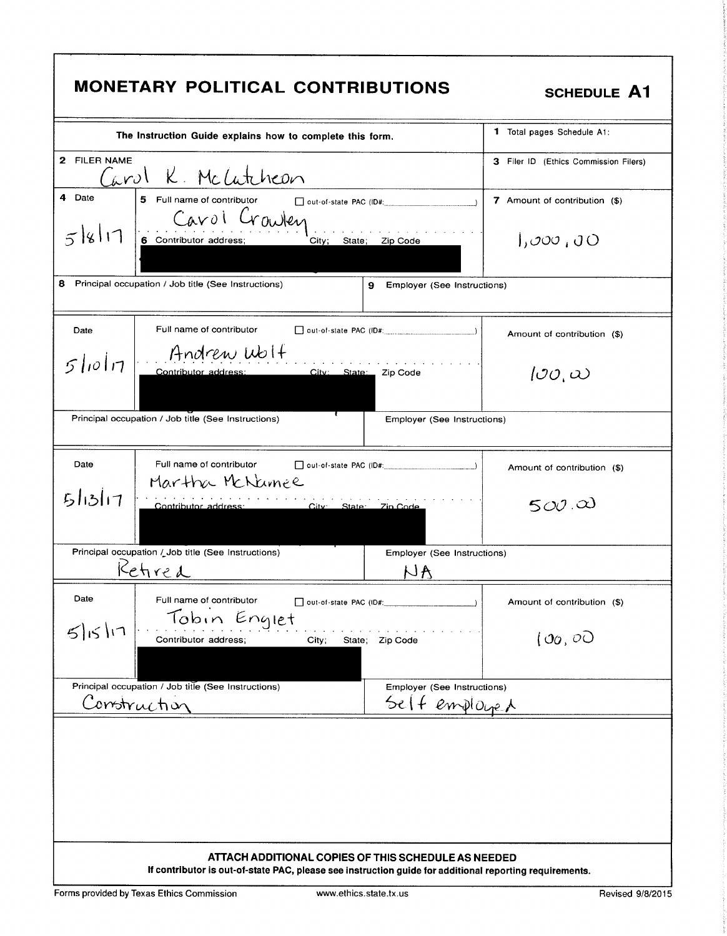| <b>MONETARY POLITICAL CONTRIBUTIONS</b><br><b>SCHEDULE A1</b>                                           |                                                                                                                                       |                                              |                                                  |  |
|---------------------------------------------------------------------------------------------------------|---------------------------------------------------------------------------------------------------------------------------------------|----------------------------------------------|--------------------------------------------------|--|
|                                                                                                         | The Instruction Guide explains how to complete this form.                                                                             |                                              | <b>1</b> Total pages Schedule A1:                |  |
| 2 FILER NAME                                                                                            | Carol K. McCatcheon                                                                                                                   |                                              | 3 Filer ID (Ethics Commission Filers)            |  |
| 4 Date<br>518117                                                                                        | 5 Full name of contributor and out-of-state PAC (ID#:<br>Cavol Crowley<br>City; State; Zip Code                                       |                                              | 7 Amount of contribution (\$)<br>1,000,00        |  |
|                                                                                                         | 8 Principal occupation / Job title (See Instructions)<br>9                                                                            | Employer (See Instructions)                  |                                                  |  |
| Date                                                                                                    | Full name of contributor<br>$\Box$ out-of-state PAC (ID#: $\Box$ )                                                                    |                                              | Amount of contribution (\$)                      |  |
| $5$ lio $1\pi$                                                                                          | Andrew Wolf<br>City: State: Zip Code<br>Contributor address:                                                                          |                                              | $\partial\mathcal{O},\omega$                     |  |
|                                                                                                         | Principal occupation / Job title (See Instructions)                                                                                   | Employer (See Instructions)                  |                                                  |  |
| Date<br>51317                                                                                           | Full name of contributor<br>$\Box$ out-of-state PAC (ID#: $\Box$ )<br>Martha McNumee<br>Contributor address:<br>City: State: Zin Code |                                              | Amount of contribution (\$)<br>$500\,\mathrm{A}$ |  |
|                                                                                                         | Principal occupation / Job title (See Instructions)<br>Kefired                                                                        | Employer (See Instructions)<br>NA            |                                                  |  |
| Date                                                                                                    | Full name of contributor<br>Tobin Englet                                                                                              |                                              | Amount of contribution (\$)                      |  |
| 5 5 1                                                                                                   | Contributor address;<br>City;<br>State; Zip Code                                                                                      |                                              | (00, 00)                                         |  |
| Construction                                                                                            | Principal occupation / Job title (See Instructions)                                                                                   | Employer (See Instructions)<br>Selt employed |                                                  |  |
|                                                                                                         | ATTACH ADDITIONAL COPIES OF THIS SCHEDULE AS NEEDED                                                                                   |                                              |                                                  |  |
| If contributor is out-of-state PAC, please see instruction guide for additional reporting requirements. |                                                                                                                                       |                                              |                                                  |  |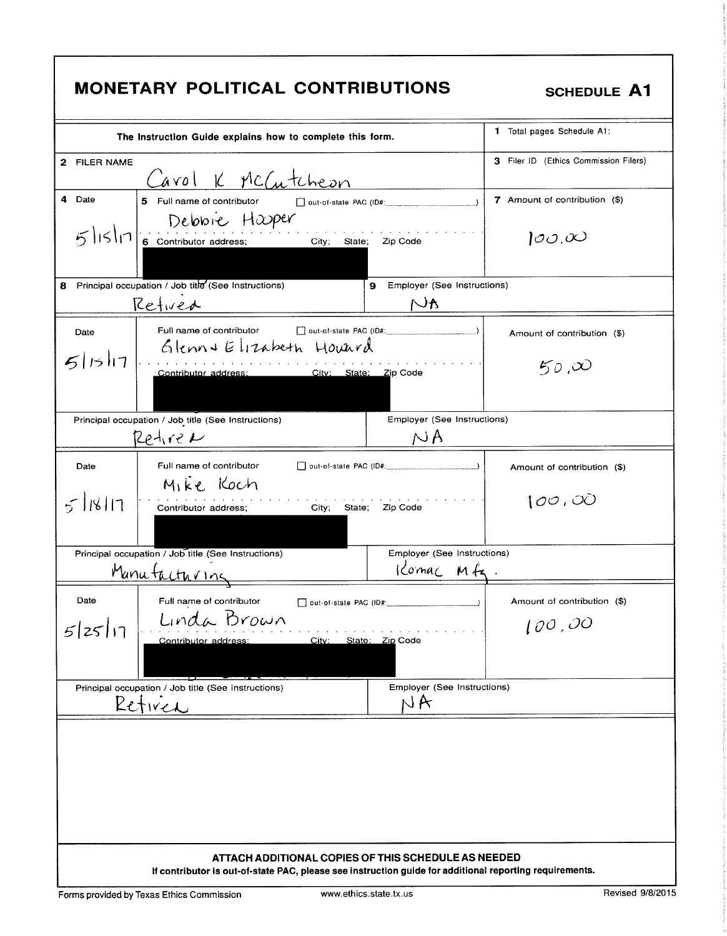| <b>MONETARY POLITICAL CONTRIBUTIONS</b> |
|-----------------------------------------|
|-----------------------------------------|

# **SCHEDULE A1**

|                                                                                    | The Instruction Guide explains how to complete this form.                                               |                                        | 1 Total pages Schedule A1:                      |
|------------------------------------------------------------------------------------|---------------------------------------------------------------------------------------------------------|----------------------------------------|-------------------------------------------------|
| 2 FILER NAME                                                                       |                                                                                                         |                                        | 3 Filer ID (Ethics Commission Filers)           |
|                                                                                    | Carol K. McCutcheon                                                                                     |                                        |                                                 |
| 4 Date                                                                             |                                                                                                         |                                        | 7 Amount of contribution (\$)                   |
|                                                                                    | 5 Full name of contributor<br>out-of-state PAC (ID#:                                                    |                                        |                                                 |
|                                                                                    | Debbie Hasper                                                                                           |                                        |                                                 |
|                                                                                    | $5 15 1$ 6 Contributor address; City; State;                                                            | Zip Code                               | $\partial \mathcal{O}$ , $\partial \mathcal{O}$ |
|                                                                                    |                                                                                                         |                                        |                                                 |
| Principal occupation / Job title (See Instructions)<br>8                           |                                                                                                         | 9<br>Employer (See Instructions)       |                                                 |
|                                                                                    |                                                                                                         | $A\cup$                                |                                                 |
| Retired                                                                            |                                                                                                         |                                        |                                                 |
| Date                                                                               | Full name of contributor                                                                                | out-of-state PAC (ID#:                 | Amount of contribution (\$)                     |
|                                                                                    | Glenn& Elizabeth Howard                                                                                 |                                        |                                                 |
| 5 15 17                                                                            | Contributor address:                                                                                    |                                        | 50,00                                           |
|                                                                                    | City: State: Zip Code                                                                                   |                                        |                                                 |
|                                                                                    |                                                                                                         |                                        |                                                 |
| Principal occupation / Job title (See Instructions)                                |                                                                                                         | Employer (See Instructions)            |                                                 |
| Retire N                                                                           |                                                                                                         | $\bigwedge A$                          |                                                 |
|                                                                                    |                                                                                                         |                                        |                                                 |
| Date                                                                               | Full name of contributor                                                                                | $\Box$ out-of-state PAC (ID#: $\Box$ ) | Amount of contribution (\$)                     |
|                                                                                    | Mike Koch                                                                                               |                                        |                                                 |
| $5$ $18$ $11$                                                                      | Contributor address;<br>State;<br>City;                                                                 | Zip Code                               | 100,00                                          |
|                                                                                    |                                                                                                         |                                        |                                                 |
|                                                                                    |                                                                                                         |                                        |                                                 |
| Principal occupation / Job title (See Instructions)<br>Employer (See Instructions) |                                                                                                         |                                        |                                                 |
| Manutacturing                                                                      |                                                                                                         | Komac Mfg                              |                                                 |
|                                                                                    |                                                                                                         |                                        |                                                 |
| Date                                                                               | Full name of contributor                                                                                |                                        | Amount of contribution (\$)                     |
| 5 25 1                                                                             | Linda Brown                                                                                             |                                        | 100,00                                          |
|                                                                                    | City: State: Zip Code<br>Contributor address:                                                           |                                        |                                                 |
|                                                                                    |                                                                                                         |                                        |                                                 |
|                                                                                    |                                                                                                         |                                        |                                                 |
| Principal occupation / Job title (See Instructions)                                |                                                                                                         | Employer (See Instructions)<br>NA      |                                                 |
| Retirer                                                                            |                                                                                                         |                                        |                                                 |
|                                                                                    |                                                                                                         |                                        |                                                 |
|                                                                                    |                                                                                                         |                                        |                                                 |
|                                                                                    |                                                                                                         |                                        |                                                 |
|                                                                                    |                                                                                                         |                                        |                                                 |
|                                                                                    |                                                                                                         |                                        |                                                 |
|                                                                                    |                                                                                                         |                                        |                                                 |
|                                                                                    |                                                                                                         |                                        |                                                 |
|                                                                                    | ATTACH ADDITIONAL COPIES OF THIS SCHEDULE AS NEEDED                                                     |                                        |                                                 |
|                                                                                    | If contributor is out-of-state PAC, please see instruction guide for additional reporting requirements. |                                        |                                                 |
|                                                                                    |                                                                                                         |                                        |                                                 |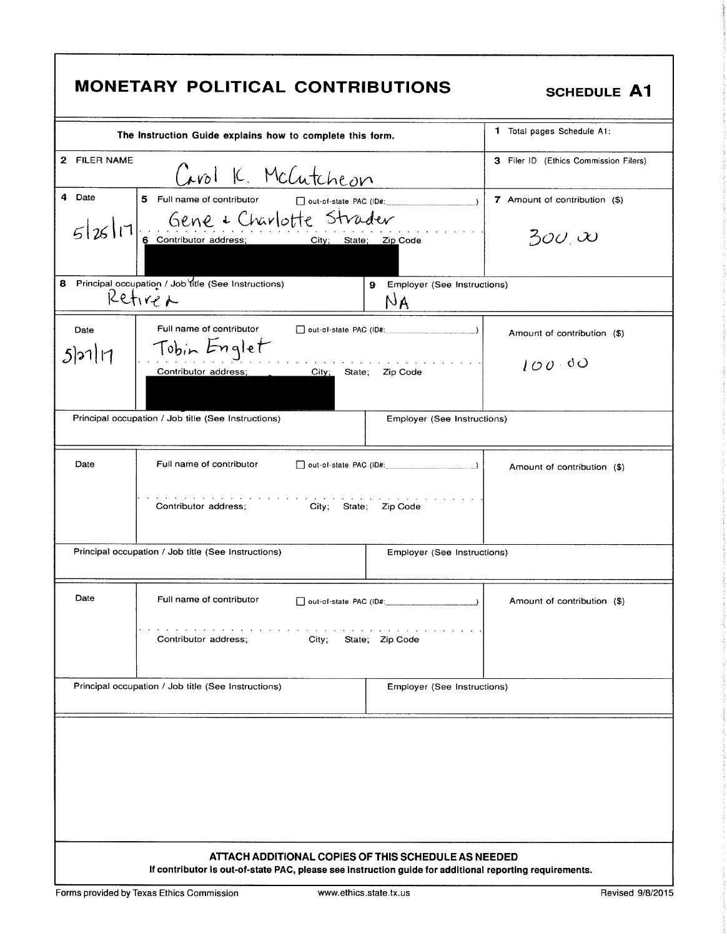| <b>MONETARY POLITICAL CONTRIBUTIONS</b><br><b>SCHEDULE A1</b>                                                                                                  |                                       |  |  |  |
|----------------------------------------------------------------------------------------------------------------------------------------------------------------|---------------------------------------|--|--|--|
| The Instruction Guide explains how to complete this form.                                                                                                      | 1 Total pages Schedule A1:            |  |  |  |
| 2 FILER NAME<br>Carol K. McCutcheon                                                                                                                            | 3 Filer ID (Ethics Commission Filers) |  |  |  |
| 4 Date<br>5 Full name of contributor<br>out-of-state PAC (ID#:                                                                                                 | 7 Amount of contribution (\$)         |  |  |  |
| Gene & Charlotte Strader<br>6 Contributor address; City; State; Zip Code<br>5 26 1                                                                             | $\partial_2\partial_3\infty$          |  |  |  |
| 8 Principal occupation / Job fitle (See Instructions)<br>9 Employer (See Instructions)<br>Retirer<br>NA                                                        |                                       |  |  |  |
| Full name of contributor<br>out-of-state PAC (ID#:<br>Date<br>Tobin Englet                                                                                     | Amount of contribution (\$)           |  |  |  |
| 5121 17<br>Contributor address;<br>City;<br>State:<br>Zip Code                                                                                                 | 100.80                                |  |  |  |
| Principal occupation / Job title (See Instructions)<br>Employer (See Instructions)                                                                             |                                       |  |  |  |
| Full name of contributor<br>Date<br>$\Box$ out-of-state PAC (ID#: $\Box$ )                                                                                     | Amount of contribution (\$)           |  |  |  |
| design and a state of the state<br>Contributor address;<br>City; State; Zip Code                                                                               |                                       |  |  |  |
| Principal occupation / Job title (See Instructions)<br>Employer (See Instructions)                                                                             |                                       |  |  |  |
| Date<br>Full name of contributor                                                                                                                               | Amount of contribution (\$)           |  |  |  |
| Contributor address;<br>City;<br>State; Zip Code                                                                                                               |                                       |  |  |  |
| Principal occupation / Job title (See Instructions)<br>Employer (See Instructions)                                                                             |                                       |  |  |  |
|                                                                                                                                                                |                                       |  |  |  |
| ATTACH ADDITIONAL COPIES OF THIS SCHEDULE AS NEEDED<br>If contributor is out-of-state PAC, please see instruction guide for additional reporting requirements. |                                       |  |  |  |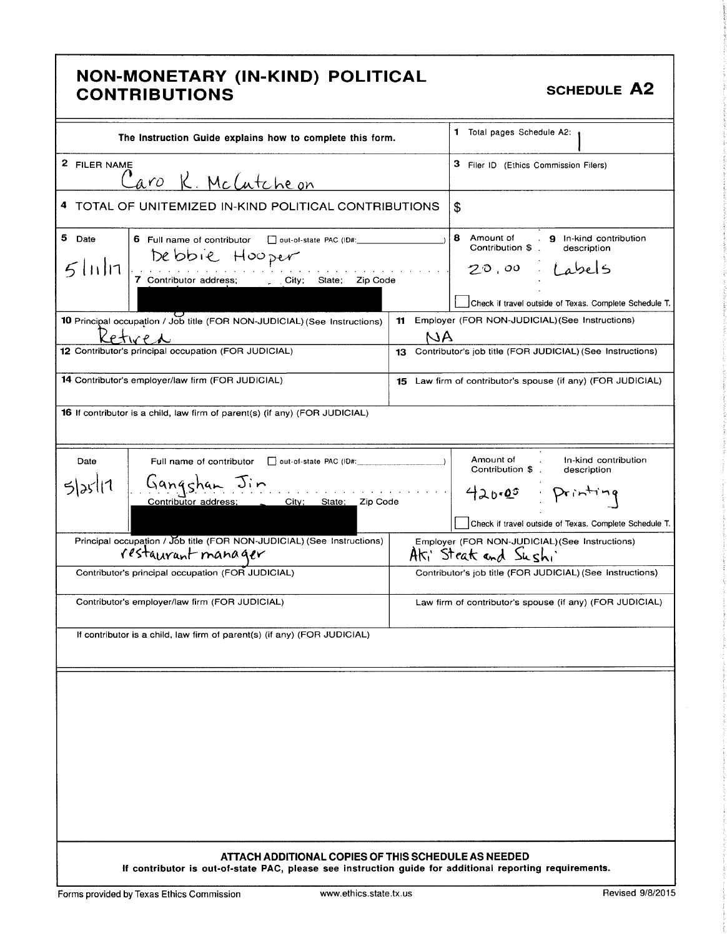### NON- MONETARY (IN- KIND) POLITICAL NON MONETAIN (IN-RIND) I OEITIOAE<br>CONTRIBUTIONS

| The Instruction Guide explains how to complete this form.                                                                                                                                                                   | 1 Total pages Schedule A2:                                                                                                                                                                                |
|-----------------------------------------------------------------------------------------------------------------------------------------------------------------------------------------------------------------------------|-----------------------------------------------------------------------------------------------------------------------------------------------------------------------------------------------------------|
| 2 FILER NAME<br>aro K. McCutcheon                                                                                                                                                                                           | 3 Filer ID (Ethics Commission Filers)                                                                                                                                                                     |
| 4 TOTAL OF UNITEMIZED IN-KIND POLITICAL CONTRIBUTIONS                                                                                                                                                                       | \$                                                                                                                                                                                                        |
| 5 Date<br>6 Full name of contributor cout-of-state PAC (ID#:<br>Debbie Hooper<br>$5$ lıı $ n $<br>7 Contributor address; City; State; Zip Code<br>10 Principal occupation / Job title (FOR NON-JUDICIAL) (See Instructions) | 8 Amount of<br>9 In-kind contribution<br>Contribution \$<br>description<br>$20.00$ / abels<br>Check if travel outside of Texas. Complete Schedule T.<br>11 Employer (FOR NON-JUDICIAL) (See Instructions) |
|                                                                                                                                                                                                                             | NA                                                                                                                                                                                                        |
| 12 Contributor's principal occupation (FOR JUDICIAL)                                                                                                                                                                        | 13 Contributor's job title (FOR JUDICIAL) (See Instructions)                                                                                                                                              |
| 14 Contributor's employer/law firm (FOR JUDICIAL)                                                                                                                                                                           | 15 Law firm of contributor's spouse (if any) (FOR JUDICIAL)                                                                                                                                               |
| 16 If contributor is a child, law firm of parent(s) (if any) (FOR JUDICIAL)                                                                                                                                                 |                                                                                                                                                                                                           |
| Date<br>Full name of contributor<br>out-of-state PAC (ID#:<br>Gangshan Jin<br>5 25 11<br>City; State; Zip Code<br>Contributor address;                                                                                      | Amount of<br>In-kind contribution<br>Contribution \$.<br>description<br>420.00 Printing<br>Check if travel outside of Texas. Complete Schedule T.                                                         |
| Principal occupation / Job title (FOR NON-JUDICIAL) (See Instructions)<br>restaurant manager                                                                                                                                | Employer (FOR NON-JUDICIAL) (See Instructions)<br>Aki Steat and Sushi                                                                                                                                     |
| Contributor's principal occupation (FOR JUDICIAL)                                                                                                                                                                           | Contributor's job title (FOR JUDICIAL) (See Instructions)                                                                                                                                                 |
| Contributor's employer/law firm (FOR JUDICIAL)                                                                                                                                                                              | Law firm of contributor's spouse (if any) (FOR JUDICIAL)                                                                                                                                                  |
| If contributor is a child, law firm of parent(s) (if any) (FOR JUDICIAL)                                                                                                                                                    |                                                                                                                                                                                                           |
|                                                                                                                                                                                                                             |                                                                                                                                                                                                           |
| ATTACH ADDITIONAL COPIES OF THIS SCHEDULE AS NEEDED<br>If contributor is out-of-state PAC, please see instruction guide for additional reporting requirements.                                                              |                                                                                                                                                                                                           |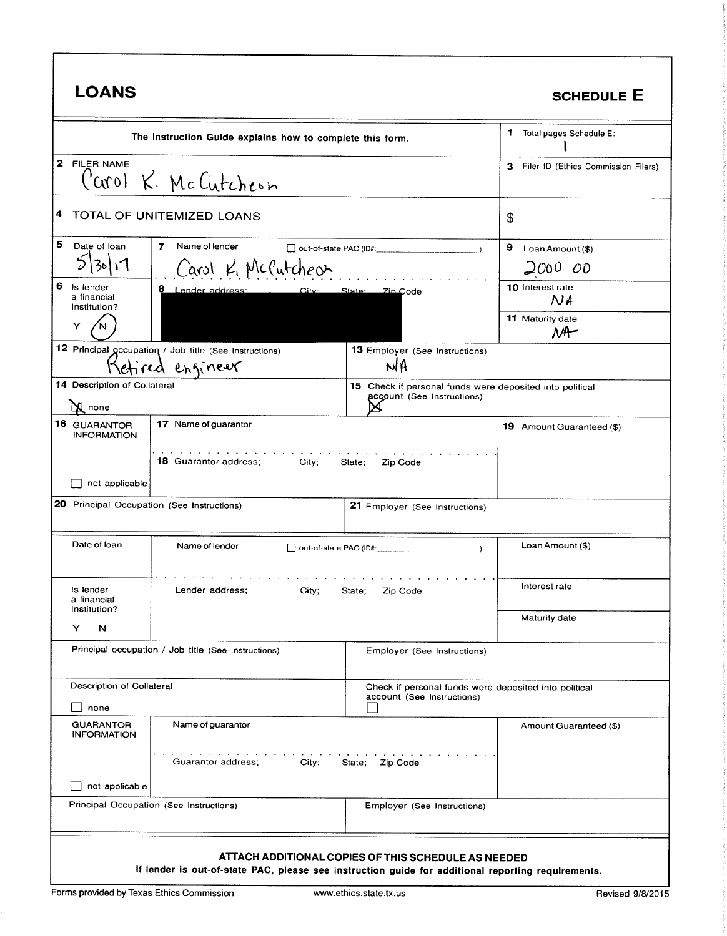| <b>LOANS</b>                                                                                                                                              |                                                                           |                                                                                        | <b>SCHEDULE E</b>                        |
|-----------------------------------------------------------------------------------------------------------------------------------------------------------|---------------------------------------------------------------------------|----------------------------------------------------------------------------------------|------------------------------------------|
|                                                                                                                                                           | The Instruction Guide explains how to complete this form.                 |                                                                                        | 1.<br>Total pages Schedule E:            |
| 2 FILER NAME                                                                                                                                              | Carol K. McCutcheon                                                       |                                                                                        | з<br>Filer ID (Ethics Commission Filers) |
| 4                                                                                                                                                         | TOTAL OF UNITEMIZED LOANS                                                 |                                                                                        | \$                                       |
| 5<br>Date of loan                                                                                                                                         | Name of lender<br>7<br>Carol K. McCutcheon                                | Out-of-state PAC (ID#:                                                                 | 9<br>Loan Amount (\$)<br>2000. oo        |
| 6<br>Is lender<br>a financial<br>Institution?                                                                                                             | 8 Lender address:<br><u>City:</u>                                         | Zin Code<br><u>State:</u>                                                              | 10 Interest rate<br>N A                  |
| Y                                                                                                                                                         |                                                                           |                                                                                        | 11 Maturity date<br>$M^+$                |
|                                                                                                                                                           | 12 Principal gecupation / Job title (See Instructions)<br>etired engineer | 13 Employer (See Instructions)<br>NH                                                   |                                          |
| 14 Description of Collateral<br><b>N</b> none                                                                                                             |                                                                           | 15 Check if personal funds were deposited into political<br>account (See Instructions) |                                          |
| 16 GUARANTOR<br><b>INFORMATION</b>                                                                                                                        | 17 Name of guarantor                                                      |                                                                                        | 19 Amount Guaranteed (\$)                |
| <b>18</b> Guarantor address:<br>City;<br>State;<br>Zip Code<br>not applicable                                                                             |                                                                           |                                                                                        |                                          |
| 20 Principal Occupation (See Instructions)                                                                                                                |                                                                           | 21 Employer (See Instructions)                                                         |                                          |
| Date of loan                                                                                                                                              | Name of lender<br>$\Box$ out-of-state PAC (ID#:                           |                                                                                        | Loan Amount (\$)                         |
| is lender<br>a financial<br>Institution?                                                                                                                  | Lender address;<br>City;                                                  | State;<br>Zip Code                                                                     | Interest rate                            |
| Y<br>N                                                                                                                                                    |                                                                           |                                                                                        | Maturity date                            |
|                                                                                                                                                           | Principal occupation / Job title (See Instructions)                       | Employer (See Instructions)                                                            |                                          |
| Description of Collateral                                                                                                                                 |                                                                           | Check if personal funds were deposited into political<br>account (See Instructions)    |                                          |
| none                                                                                                                                                      |                                                                           |                                                                                        |                                          |
| <b>GUARANTOR</b><br><b>INFORMATION</b>                                                                                                                    | Name of guarantor                                                         |                                                                                        | Amount Guaranteed (\$)                   |
| the contract of the contract of the contract of the<br>Guarantor address:<br>City;<br>State; Zip Code                                                     |                                                                           |                                                                                        |                                          |
| not applicable                                                                                                                                            | Principal Occupation (See Instructions)                                   | Employer (See Instructions)                                                            |                                          |
| ATTACH ADDITIONAL COPIES OF THIS SCHEDULE AS NEEDED<br>If lender is out-of-state PAC, please see instruction guide for additional reporting requirements. |                                                                           |                                                                                        |                                          |

 $\mathbf{I}$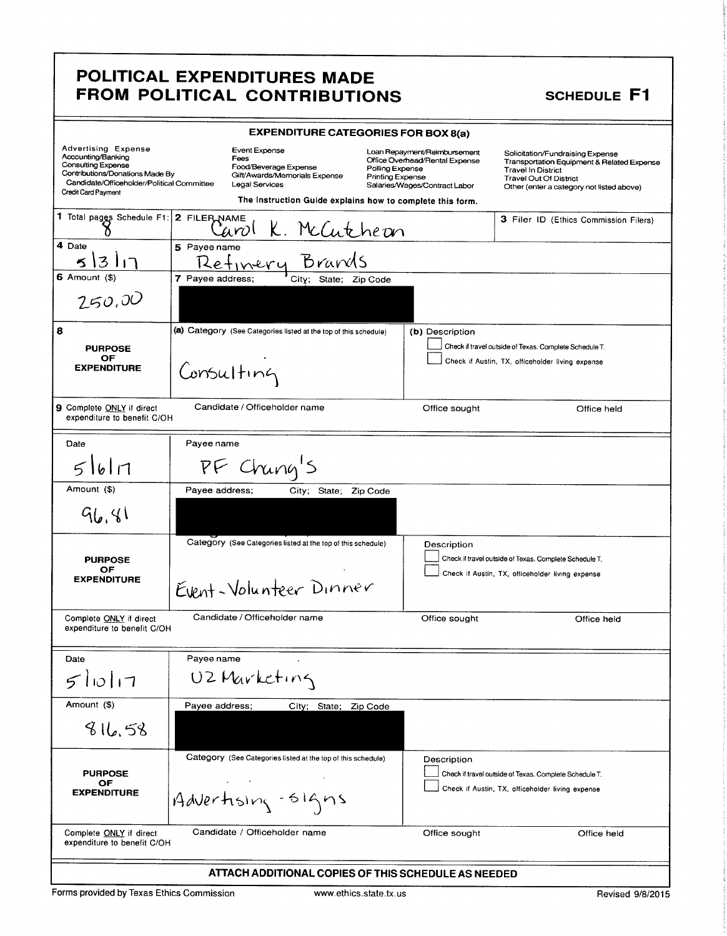| <b>EXPENDITURE CATEGORIES FOR BOX 8(a)</b>                                                                                                                                                   |                                                                                                                                                                |                                                                                                                                        |                                                                                                                                                                                           |  |
|----------------------------------------------------------------------------------------------------------------------------------------------------------------------------------------------|----------------------------------------------------------------------------------------------------------------------------------------------------------------|----------------------------------------------------------------------------------------------------------------------------------------|-------------------------------------------------------------------------------------------------------------------------------------------------------------------------------------------|--|
| <b>Advertising Expense</b><br>Accounting/Banking<br><b>Consulting Expense</b><br>Contributions/Donations Made By<br>Candidate/Officeholder/Political Committee<br><b>Credit Card Payment</b> | Event Expense<br>Fees<br>Food/Beverage Expense<br>Gift/Awards/Memorials Expense<br>Legal Services<br>The Instruction Guide explains how to complete this form. | Loan Repayment/Reimbursement<br>Office Overhead/Rental Expense<br>Polling Expense<br>Printing Expense<br>Salaries/Wages/Contract Labor | Solicitation/Fundraising Expense<br>Transportation Equipment & Related Expense<br><b>Travel In District</b><br><b>Travel Out Of District</b><br>Other (enter a category not listed above) |  |
| 1 Total pages Schedule F1: 2 FILER NAME                                                                                                                                                      | <u>K. McCutheon</u><br>ianol                                                                                                                                   |                                                                                                                                        | 3 Filer ID (Ethics Commission Filers)                                                                                                                                                     |  |
| 4 Date<br>311                                                                                                                                                                                | weename<br>Refinery Brands<br>5 Payee name                                                                                                                     |                                                                                                                                        |                                                                                                                                                                                           |  |
| $6$ Amount $($)$                                                                                                                                                                             | 7 Payee address;<br>City; State; Zip Code                                                                                                                      |                                                                                                                                        |                                                                                                                                                                                           |  |
| 250,00                                                                                                                                                                                       |                                                                                                                                                                |                                                                                                                                        |                                                                                                                                                                                           |  |
| 8                                                                                                                                                                                            | (a) Category (See Categories listed at the top of this schedule)                                                                                               | (b) Description                                                                                                                        |                                                                                                                                                                                           |  |
| <b>PURPOSE</b>                                                                                                                                                                               |                                                                                                                                                                |                                                                                                                                        | Check if travel outside of Texas. Complete Schedule T.                                                                                                                                    |  |
| OF<br><b>EXPENDITURE</b>                                                                                                                                                                     | Consulting                                                                                                                                                     |                                                                                                                                        | Check if Austin, TX, officeholder living expense                                                                                                                                          |  |
| <b>9</b> Complete ONLY if direct<br>expenditure to benefit C/OH                                                                                                                              | Candidate / Officeholder name                                                                                                                                  | Office sought                                                                                                                          | Office held                                                                                                                                                                               |  |
| Date                                                                                                                                                                                         | Payee name                                                                                                                                                     |                                                                                                                                        |                                                                                                                                                                                           |  |
| 51617                                                                                                                                                                                        | PF Chang's                                                                                                                                                     |                                                                                                                                        |                                                                                                                                                                                           |  |
| Amount (\$)                                                                                                                                                                                  | Payee address;<br>City; State; Zip Code                                                                                                                        |                                                                                                                                        |                                                                                                                                                                                           |  |
| 96.81                                                                                                                                                                                        |                                                                                                                                                                |                                                                                                                                        |                                                                                                                                                                                           |  |
|                                                                                                                                                                                              | Category (See Categories listed at the top of this schedule)                                                                                                   | Description                                                                                                                            |                                                                                                                                                                                           |  |
| <b>PURPOSE</b>                                                                                                                                                                               |                                                                                                                                                                |                                                                                                                                        | Check if travel outside of Texas. Complete Schedule T.                                                                                                                                    |  |
| OF<br><b>EXPENDITURE</b>                                                                                                                                                                     | Event-Volunteer Dinner                                                                                                                                         |                                                                                                                                        | Check if Austin, TX, officeholder living expense                                                                                                                                          |  |
| Complete ONLY if direct<br>expenditure to benefit C/OH                                                                                                                                       | Candidate / Officeholder name                                                                                                                                  | Office sought                                                                                                                          | Office held                                                                                                                                                                               |  |
| Date                                                                                                                                                                                         | Payee name                                                                                                                                                     |                                                                                                                                        |                                                                                                                                                                                           |  |
| 51017                                                                                                                                                                                        | UZ Marketing                                                                                                                                                   |                                                                                                                                        |                                                                                                                                                                                           |  |
| Amount (\$)                                                                                                                                                                                  | Payee address;<br>City; State; Zip Code                                                                                                                        |                                                                                                                                        |                                                                                                                                                                                           |  |
| 816,58                                                                                                                                                                                       |                                                                                                                                                                |                                                                                                                                        |                                                                                                                                                                                           |  |
|                                                                                                                                                                                              | Category (See Categories listed at the top of this schedule)                                                                                                   | Description                                                                                                                            |                                                                                                                                                                                           |  |
| <b>PURPOSE</b>                                                                                                                                                                               |                                                                                                                                                                |                                                                                                                                        | Check if travel outside of Texas. Complete Schedule T.                                                                                                                                    |  |
| OF<br><b>EXPENDITURE</b>                                                                                                                                                                     | Advertising-signs                                                                                                                                              |                                                                                                                                        | Check if Austin, TX, officeholder living expense                                                                                                                                          |  |
| Complete <b>ONLY</b> if direct                                                                                                                                                               | Candidate / Officeholder name<br>Office sought<br>Office held<br>expenditure to benefit C/OH                                                                   |                                                                                                                                        |                                                                                                                                                                                           |  |
| ATTACH ADDITIONAL COPIES OF THIS SCHEDULE AS NEEDED                                                                                                                                          |                                                                                                                                                                |                                                                                                                                        |                                                                                                                                                                                           |  |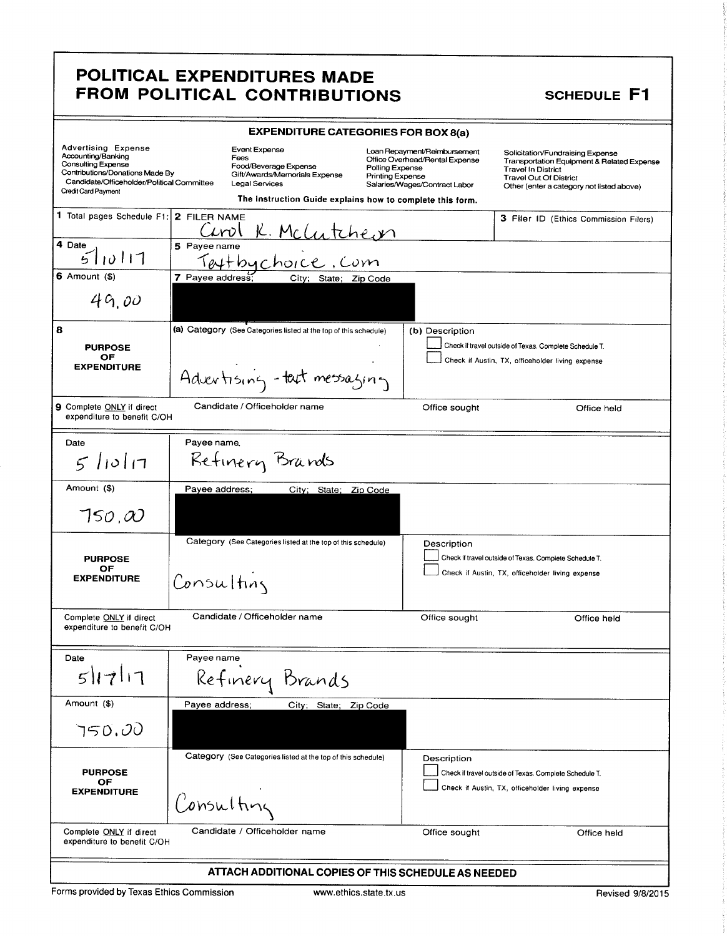|                                                                                                                                                                                              | <b>EXPENDITURE CATEGORIES FOR BOX 8(a)</b>                                                                                                                     |                                                                                                                                               |                                                                                                                                                                                           |  |  |
|----------------------------------------------------------------------------------------------------------------------------------------------------------------------------------------------|----------------------------------------------------------------------------------------------------------------------------------------------------------------|-----------------------------------------------------------------------------------------------------------------------------------------------|-------------------------------------------------------------------------------------------------------------------------------------------------------------------------------------------|--|--|
| <b>Advertising Expense</b><br>Accounting/Banking<br><b>Consulting Expense</b><br>Contributions/Donations Made By<br>Candidate/Officeholder/Political Committee<br><b>Credit Card Payment</b> | Event Expense<br>Fees<br>Food/Beverage Expense<br>Gift/Awards/Memorials Expense<br>Legal Services<br>The Instruction Guide explains how to complete this form. | Loan Repayment/Reimbursement<br>Office Overhead/Rental Expense<br>Polling Expense<br><b>Printing Expense</b><br>Salaries/Wages/Contract Labor | Solicitation/Fundraising Expense<br>Transportation Equipment & Related Expense<br><b>Travel In District</b><br><b>Travel Out Of District</b><br>Other (enter a category not listed above) |  |  |
| 1 Total pages Schedule F1:                                                                                                                                                                   | 2 FILER NAME<br><u>K. Mchatcheon</u><br>ા⁄∩ા                                                                                                                   |                                                                                                                                               | 3 Filer ID (Ethics Commission Filers)                                                                                                                                                     |  |  |
| 4 Date<br>10117                                                                                                                                                                              | 5 Payee name<br>Textbychoice.com                                                                                                                               |                                                                                                                                               |                                                                                                                                                                                           |  |  |
| $6$ Amount $($)$<br>49,00                                                                                                                                                                    | 7 Payee address;<br>City; State; Zip Code                                                                                                                      |                                                                                                                                               |                                                                                                                                                                                           |  |  |
| 8                                                                                                                                                                                            | (a) Category (See Categories listed at the top of this schedule)                                                                                               | (b) Description                                                                                                                               |                                                                                                                                                                                           |  |  |
| <b>PURPOSE</b><br>ОF<br><b>EXPENDITURE</b>                                                                                                                                                   | Advertising - tact messaging                                                                                                                                   |                                                                                                                                               | Check if travel outside of Texas. Complete Schedule T.<br>Check if Austin, TX, officeholder living expense                                                                                |  |  |
| <b>9</b> Complete ONLY if direct<br>expenditure to benefit C/OH                                                                                                                              | Candidate / Officeholder name                                                                                                                                  | Office sought                                                                                                                                 | Office held                                                                                                                                                                               |  |  |
| Date<br>$5$ lioli $7$                                                                                                                                                                        | Payee name,<br>Retinery Brands                                                                                                                                 |                                                                                                                                               |                                                                                                                                                                                           |  |  |
| Amount (\$)<br>$\tau$ so, $\omega$                                                                                                                                                           | Payee address;<br>City; State;                                                                                                                                 | Zip Code                                                                                                                                      |                                                                                                                                                                                           |  |  |
| <b>PURPOSE</b><br>ОF<br><b>EXPENDITURE</b>                                                                                                                                                   | Category (See Categories listed at the top of this schedule)<br>Consulting                                                                                     | Description                                                                                                                                   | Check if travel outside of Texas. Complete Schedule T.<br>Check if Austin, TX, officeholder living expense                                                                                |  |  |
| Complete ONLY if direct<br>expenditure to benefit C/OH                                                                                                                                       | Candidate / Officeholder name                                                                                                                                  | Office sought                                                                                                                                 | Office held                                                                                                                                                                               |  |  |
| Date                                                                                                                                                                                         | Payee name                                                                                                                                                     |                                                                                                                                               |                                                                                                                                                                                           |  |  |
| 51711                                                                                                                                                                                        | Refinery Brands                                                                                                                                                |                                                                                                                                               |                                                                                                                                                                                           |  |  |
| Amount (\$)                                                                                                                                                                                  | Payee address;<br>City; State; Zip Code                                                                                                                        |                                                                                                                                               |                                                                                                                                                                                           |  |  |
| 750.00                                                                                                                                                                                       |                                                                                                                                                                |                                                                                                                                               |                                                                                                                                                                                           |  |  |
| <b>PURPOSE</b><br>ОF<br><b>EXPENDITURE</b>                                                                                                                                                   | Category (See Categories listed at the top of this schedule)<br>Consulting                                                                                     | Description                                                                                                                                   | Check if travel outside of Texas. Complete Schedule T.<br>Check if Austin, TX, officeholder living expense                                                                                |  |  |
| Complete ONLY if direct<br>expenditure to benefit C/OH                                                                                                                                       | Candidate / Officeholder name                                                                                                                                  | Office sought                                                                                                                                 | Office held                                                                                                                                                                               |  |  |
| ATTACH ADDITIONAL COPIES OF THIS SCHEDULE AS NEEDED                                                                                                                                          |                                                                                                                                                                |                                                                                                                                               |                                                                                                                                                                                           |  |  |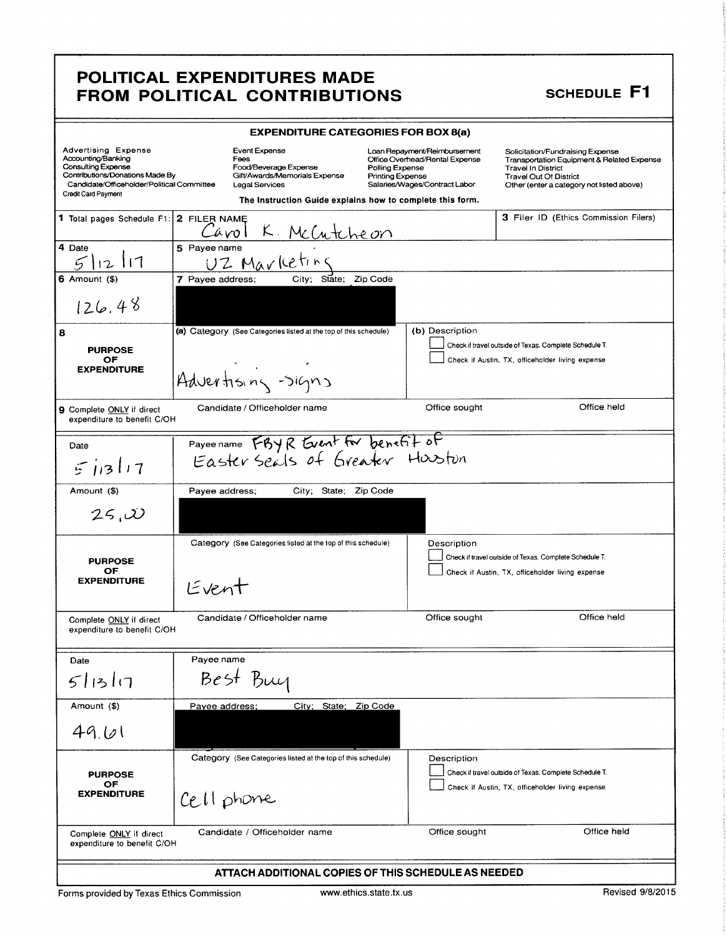| POLITICAL EXPENDITURES MADE                                                                                                                                                                                                                                                                                                                                                                                                                                                                                                                                                                        |  |  |  |
|----------------------------------------------------------------------------------------------------------------------------------------------------------------------------------------------------------------------------------------------------------------------------------------------------------------------------------------------------------------------------------------------------------------------------------------------------------------------------------------------------------------------------------------------------------------------------------------------------|--|--|--|
| SCHEDULE F1<br>FROM POLITICAL CONTRIBUTIONS<br><b>EXPENDITURE CATEGORIES FOR BOX 8(a)</b><br>Loan Repayment/Reimbursement<br>Office Overhead/Rental Expense<br>Solicitation/Fundraising Expense<br>Transportation Equipment & Related Expense                                                                                                                                                                                                                                                                                                                                                      |  |  |  |
| Advertising Expense<br>Accounting/Banking<br>Consulting Expense<br>Contributions/Donations Made By<br>Event Expense<br>Fees<br>Food/Beverage Expense<br>Gift/Awards/Memorials Expense<br>Polling Expense<br>Printing Expense<br>Salaries/Wages/Contract Labor<br>Travel Out Of District<br>Candidate/Officeholder/Political Committee Legal Services<br>Other (enter a category not listed above)<br>Credit Card Payment<br>The Instruction Guide explains how to complete this form.<br>3 Filer ID (Ethics Commission Filers)<br>1 Total pages Schedule F1: 2 FILER NAME<br>McCutcheon<br>Cavol K |  |  |  |
| $5$ Payee name<br>4 Date<br>$5/12/17$<br>6 Amount (\$)<br>UZ Marketing<br>7 Payee address; City; State; Zip Code<br>126.48                                                                                                                                                                                                                                                                                                                                                                                                                                                                         |  |  |  |
| (a) Category (See Categories listed at the top of this schedule) (b) Description<br>Check if travel outside of Texas. Complete Schedule T.<br>PURPOSE<br>OF<br>EXPENDITURE<br>Check if Austin, TX, officeholder living expense<br>$\mathcal{L}(\mathcal{L})$ and $\mathcal{L}(\mathcal{L})$ . Let<br>Advertising Signs                                                                                                                                                                                                                                                                             |  |  |  |
| Office held<br>Candidate / Officeholder name<br>Office sought<br>9 Complete ONLY if direct<br>expenditure to benefit C/OH<br>Payeename FBYR Guent for benefit of<br>Date                                                                                                                                                                                                                                                                                                                                                                                                                           |  |  |  |
| 51317<br>Payee address; City; State; Zip Code<br>Amount (\$)<br>25,00                                                                                                                                                                                                                                                                                                                                                                                                                                                                                                                              |  |  |  |
| Category (See Categories listed at the top of this schedule) Description<br>Check if travel outside of Texas. Complete Schedule T.<br>PURPOSE<br>OF<br>EXPENDITURE<br>Check if Austin, TX, officeholder living expense<br>Event                                                                                                                                                                                                                                                                                                                                                                    |  |  |  |
| Office held<br>Office sought<br>Complete ONLY if direct<br>expenditure to benefit C/OH<br>expenditure to benefit C/OH<br>Payee name<br>Date<br>Best Buy<br>5 13 17                                                                                                                                                                                                                                                                                                                                                                                                                                 |  |  |  |
| Amount (\$)<br>Payee address; City; State; Zip Code<br> 49.61                                                                                                                                                                                                                                                                                                                                                                                                                                                                                                                                      |  |  |  |
| Category (See Categories listed at the top of this schedule) Description<br>Check if travel outside of Texas. Complete Schedule T.<br>PURPOSE<br>OF<br>EXPENDITURE<br>Check if Austin, TX, officeholder living expense<br>$ Cell$ phone<br>and the contract<br>Office held                                                                                                                                                                                                                                                                                                                         |  |  |  |
| Complete ONLY if direct<br>Candidate / Officeholder name<br>expenditure to benefit C/OH<br>Office sought<br>ATTACH ADDITIONAL COPIES OF THIS SCHEDULE AS NEEDED<br>Revised 9/8/2015<br>Forms provided by Texas Ethics Commission<br>www.ethics.state.tx.us                                                                                                                                                                                                                                                                                                                                         |  |  |  |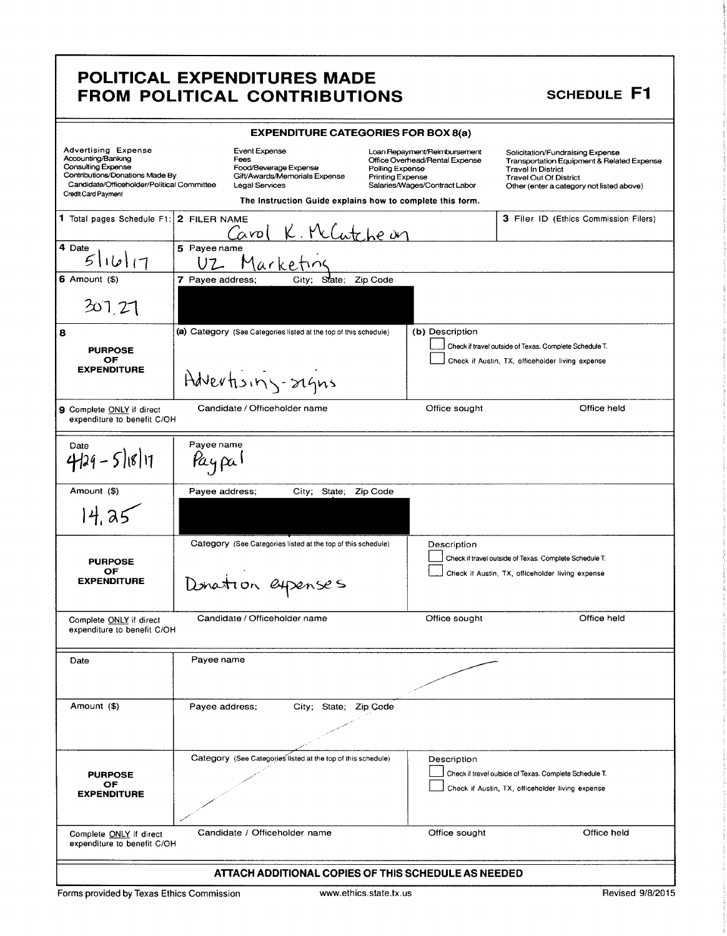| <b>EXPENDITURE CATEGORIES FOR BOX 8(a)</b>                                                                                                                                            |                      |                                                                                |                                                                                            |                                            |                                                                                                 |                                                                                                                                                                                                      |
|---------------------------------------------------------------------------------------------------------------------------------------------------------------------------------------|----------------------|--------------------------------------------------------------------------------|--------------------------------------------------------------------------------------------|--------------------------------------------|-------------------------------------------------------------------------------------------------|------------------------------------------------------------------------------------------------------------------------------------------------------------------------------------------------------|
| <b>Advertising Expense</b><br>Accounting/Banking<br><b>Consulting Expense</b><br>Contributions/Donations Made By<br>Candidate/Officeholder/Political Committee<br>Credit Card Payment |                      | <b>Event Expense</b><br>Fees<br>Food/Beverage Expense<br><b>Legal Services</b> | Gift/Awards/Memorials Expense<br>The Instruction Guide explains how to complete this form. | Polling Expense<br><b>Printing Expense</b> | Loan Repayment/Reimbursement<br>Office Overhead/Rental Expense<br>Salaries/Wages/Contract Labor | Solicitation/Fundraising Expense<br><b>Transportation Equipment &amp; Related Expense</b><br><b>Travel In District</b><br><b>Travel Out Of District</b><br>Other (enter a category not listed above) |
| 1 Total pages Schedule F1: 2 FILER NAME                                                                                                                                               |                      | Cavol                                                                          | K. McCutche on                                                                             |                                            |                                                                                                 | 3 Filer ID (Ethics Commission Filers)                                                                                                                                                                |
| 4 Date<br>5  b  1                                                                                                                                                                     | 5 Payee name<br>UZ   |                                                                                | Marketin                                                                                   |                                            |                                                                                                 |                                                                                                                                                                                                      |
| $6$ Amount $($ )<br>307.27                                                                                                                                                            | 7 Payee address;     |                                                                                | City;<br>State:                                                                            | Zip Code                                   |                                                                                                 |                                                                                                                                                                                                      |
| 8                                                                                                                                                                                     |                      |                                                                                | (a) Category (See Categories listed at the top of this schedule)                           |                                            | (b) Description                                                                                 | Check if travel outside of Texas. Complete Schedule T.                                                                                                                                               |
| <b>PURPOSE</b><br>ОF<br><b>EXPENDITURE</b>                                                                                                                                            |                      |                                                                                | Advertising-rigns                                                                          |                                            |                                                                                                 | Check if Austin, TX, officeholder living expense                                                                                                                                                     |
| 9 Complete ONLY if direct<br>expenditure to benefit C/OH                                                                                                                              |                      | Candidate / Officeholder name                                                  |                                                                                            |                                            | Office sought                                                                                   | Office held                                                                                                                                                                                          |
| Date<br>$4129 - 51811$                                                                                                                                                                | Payee name<br>καιρα! |                                                                                |                                                                                            |                                            |                                                                                                 |                                                                                                                                                                                                      |
| Amount (\$)                                                                                                                                                                           | Payee address;       |                                                                                | State;<br>City;                                                                            | Zip Code                                   |                                                                                                 |                                                                                                                                                                                                      |
| 14.25                                                                                                                                                                                 |                      |                                                                                |                                                                                            |                                            |                                                                                                 |                                                                                                                                                                                                      |
| <b>PURPOSE</b><br>OF<br><b>EXPENDITURE</b>                                                                                                                                            |                      |                                                                                | Category (See Categories listed at the top of this schedule)<br>Donation expenses          |                                            | Description                                                                                     | Check if travel outside of Texas. Complete Schedule T.<br>Check if Austin, TX, officeholder living expense                                                                                           |
| Complete ONLY if direct<br>expenditure to benefit C/OH                                                                                                                                |                      | Candidate / Officeholder name                                                  |                                                                                            |                                            | Office sought                                                                                   | Office held                                                                                                                                                                                          |
| Date                                                                                                                                                                                  | Payee name           |                                                                                |                                                                                            |                                            |                                                                                                 |                                                                                                                                                                                                      |
| Amount (\$)                                                                                                                                                                           | Payee address:       |                                                                                | City; State; Zip Code                                                                      |                                            |                                                                                                 |                                                                                                                                                                                                      |
| <b>PURPOSE</b><br>OF.<br><b>EXPENDITURE</b>                                                                                                                                           |                      |                                                                                | Category (See Categories listed at the top of this schedule)                               |                                            | Description                                                                                     | Check if travel outside of Texas. Complete Schedule T.<br>Check if Austin, TX, officeholder living expense                                                                                           |
| Complete ONLY if direct<br>expenditure to benefit C/OH                                                                                                                                |                      |                                                                                | Candidate / Officeholder name                                                              |                                            | Office sought                                                                                   | Office held                                                                                                                                                                                          |
| ATTACH ADDITIONAL COPIES OF THIS SCHEDULE AS NEEDED                                                                                                                                   |                      |                                                                                |                                                                                            |                                            |                                                                                                 |                                                                                                                                                                                                      |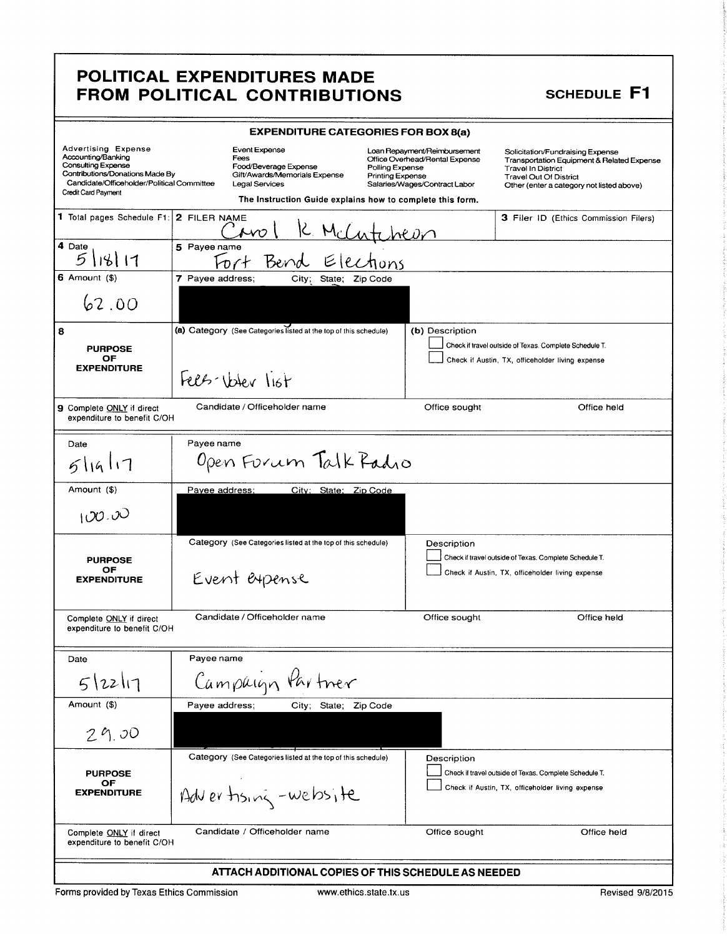| <b>EXPENDITURE CATEGORIES FOR BOX 8(a)</b>                                                                                                                                                   |                                                                                                                                                                                                                     |                                                                                                 |                                                                                                                                                                                                      |  |  |
|----------------------------------------------------------------------------------------------------------------------------------------------------------------------------------------------|---------------------------------------------------------------------------------------------------------------------------------------------------------------------------------------------------------------------|-------------------------------------------------------------------------------------------------|------------------------------------------------------------------------------------------------------------------------------------------------------------------------------------------------------|--|--|
| <b>Advertising Expense</b><br>Accounting/Banking<br><b>Consulting Expense</b><br>Contributions/Donations Made By<br>Candidate/Officeholder/Political Committee<br><b>Credit Card Payment</b> | Event Expense<br>Fees<br>Food/Beverage Expense<br>Polling Expense<br>Gift/Awards/Memorials Expense<br><b>Printing Expense</b><br><b>Legal Services</b><br>The Instruction Guide explains how to complete this form. | Loan Repayment/Reimbursement<br>Office Overhead/Rental Expense<br>Salaries/Wages/Contract Labor | Solicitation/Fundraising Expense<br><b>Transportation Equipment &amp; Related Expense</b><br><b>Travel In District</b><br><b>Travel Out Of District</b><br>Other (enter a category not listed above) |  |  |
| 1 Total pages Schedule F1:                                                                                                                                                                   | 2 FILER NAME<br>$\mathcal{N}O$                                                                                                                                                                                      |                                                                                                 | 3 Filer ID (Ethics Commission Filers)                                                                                                                                                                |  |  |
| 4 Date<br>118117<br>5                                                                                                                                                                        | 5 Payee name<br>Bend                                                                                                                                                                                                |                                                                                                 |                                                                                                                                                                                                      |  |  |
| $6$ Amount $($ )                                                                                                                                                                             | 7 Payee address;<br>State;<br>Zip Code<br>City;                                                                                                                                                                     |                                                                                                 |                                                                                                                                                                                                      |  |  |
| 62.00                                                                                                                                                                                        |                                                                                                                                                                                                                     |                                                                                                 |                                                                                                                                                                                                      |  |  |
| 8                                                                                                                                                                                            | (a) Category (See Categories listed at the top of this schedule)                                                                                                                                                    | (b) Description                                                                                 |                                                                                                                                                                                                      |  |  |
| <b>PURPOSE</b><br>OF                                                                                                                                                                         |                                                                                                                                                                                                                     |                                                                                                 | Check if travel outside of Texas. Complete Schedule T.<br>Check if Austin, TX, officeholder living expense                                                                                           |  |  |
| <b>EXPENDITURE</b>                                                                                                                                                                           | Felt-Wer list                                                                                                                                                                                                       |                                                                                                 |                                                                                                                                                                                                      |  |  |
| 9 Complete ONLY if direct<br>expenditure to benefit C/OH                                                                                                                                     | Candidate / Officeholder name                                                                                                                                                                                       | Office sought                                                                                   | Office held                                                                                                                                                                                          |  |  |
| Date                                                                                                                                                                                         | Payee name                                                                                                                                                                                                          |                                                                                                 |                                                                                                                                                                                                      |  |  |
| 5 19 17                                                                                                                                                                                      | Open Forum Talk Radio                                                                                                                                                                                               |                                                                                                 |                                                                                                                                                                                                      |  |  |
| Amount (\$)                                                                                                                                                                                  | City; State; Zip Code<br>Payee address;                                                                                                                                                                             |                                                                                                 |                                                                                                                                                                                                      |  |  |
| 100.00                                                                                                                                                                                       |                                                                                                                                                                                                                     |                                                                                                 |                                                                                                                                                                                                      |  |  |
|                                                                                                                                                                                              | Category (See Categories listed at the top of this schedule)                                                                                                                                                        | Description                                                                                     |                                                                                                                                                                                                      |  |  |
| <b>PURPOSE</b><br>OF<br><b>EXPENDITURE</b>                                                                                                                                                   | Event expense                                                                                                                                                                                                       |                                                                                                 | Check if travel outside of Texas. Complete Schedule T.<br>Check if Austin, TX, officeholder living expense                                                                                           |  |  |
| Complete ONLY if direct<br>expenditure to benefit C/OH                                                                                                                                       | Candidate / Officeholder name                                                                                                                                                                                       | Office sought                                                                                   | Office held                                                                                                                                                                                          |  |  |
| Date                                                                                                                                                                                         | Payee name                                                                                                                                                                                                          |                                                                                                 |                                                                                                                                                                                                      |  |  |
| 5 22 17                                                                                                                                                                                      | Campaign Partner                                                                                                                                                                                                    |                                                                                                 |                                                                                                                                                                                                      |  |  |
| Amount (\$)                                                                                                                                                                                  | Payee address:<br>City; State; Zip Code                                                                                                                                                                             |                                                                                                 |                                                                                                                                                                                                      |  |  |
| 29.00                                                                                                                                                                                        |                                                                                                                                                                                                                     |                                                                                                 |                                                                                                                                                                                                      |  |  |
|                                                                                                                                                                                              | Category (See Categories listed at the top of this schedule)                                                                                                                                                        | Description                                                                                     |                                                                                                                                                                                                      |  |  |
| <b>PURPOSE</b><br>OF                                                                                                                                                                         |                                                                                                                                                                                                                     |                                                                                                 | Check if travel outside of Texas. Complete Schedule T.                                                                                                                                               |  |  |
| <b>EXPENDITURE</b>                                                                                                                                                                           | Advertising-website                                                                                                                                                                                                 |                                                                                                 | Check if Austin, TX, officeholder living expense                                                                                                                                                     |  |  |
| Complete ONLY if direct                                                                                                                                                                      | Candidate / Officeholder name<br>Office sought<br>Office held<br>expenditure to benefit C/OH                                                                                                                        |                                                                                                 |                                                                                                                                                                                                      |  |  |
| ATTACH ADDITIONAL COPIES OF THIS SCHEDULE AS NEEDED                                                                                                                                          |                                                                                                                                                                                                                     |                                                                                                 |                                                                                                                                                                                                      |  |  |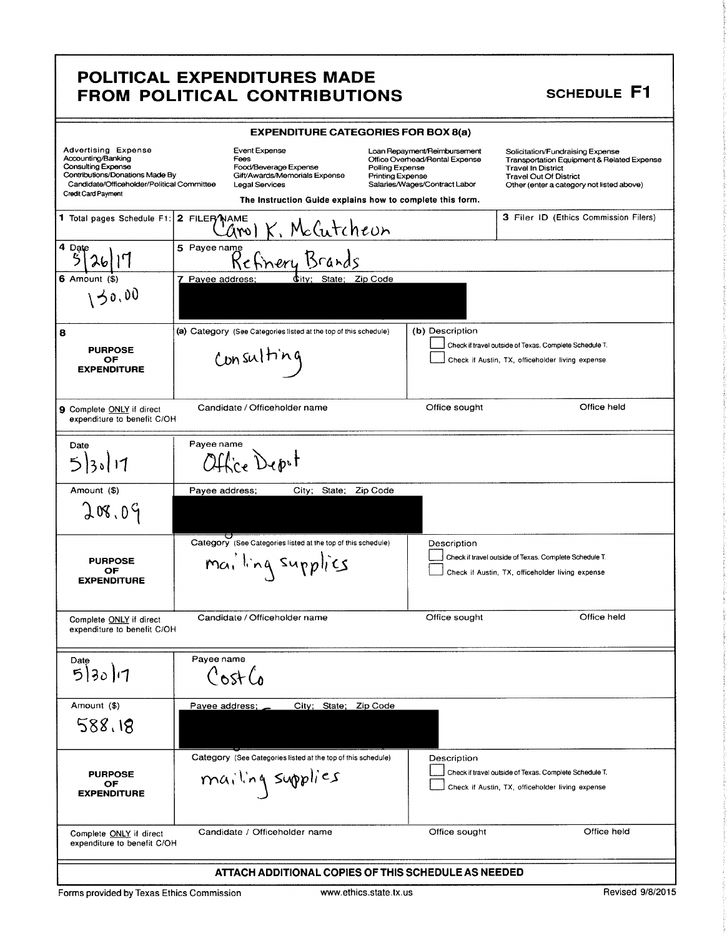|                                                                                                                                                                         | <b>EXPENDITURE CATEGORIES FOR BOX 8(a)</b> |                                                                                                                                                                       |                                            |                                                                                                 |                                                                                                                                                                                           |
|-------------------------------------------------------------------------------------------------------------------------------------------------------------------------|--------------------------------------------|-----------------------------------------------------------------------------------------------------------------------------------------------------------------------|--------------------------------------------|-------------------------------------------------------------------------------------------------|-------------------------------------------------------------------------------------------------------------------------------------------------------------------------------------------|
| Advertising Expense<br>Accounting/Banking<br>Consulting Expense<br>Contributions/Donations Made By<br>Candidate/Officeholder/Political Committee<br>Credit Card Payment |                                            | <b>Event Expense</b><br>Fees<br>Food/Beverage Expense<br>Gift/Awards/Memorials Expense<br>Legal Services<br>The Instruction Guide explains how to complete this form. | Polling Expense<br><b>Printing Expense</b> | Loan Repayment/Reimbursement<br>Office Overhead/Rental Expense<br>Salaries/Wages/Contract Labor | Solicitation/Fundraising Expense<br>Transportation Equipment & Related Expense<br><b>Travel In District</b><br><b>Travel Out Of District</b><br>Other (enter a category not listed above) |
| 1 Total pages Schedule F1:                                                                                                                                              | 2 FILER NAME                               | K. McCutcheun<br>arol                                                                                                                                                 |                                            |                                                                                                 | 3 Filer ID (Ethics Commission Filers)                                                                                                                                                     |
| 4 Date                                                                                                                                                                  | 5 Payee name                               | Refinery Brands                                                                                                                                                       |                                            |                                                                                                 |                                                                                                                                                                                           |
| 6 Amount<br>30,00                                                                                                                                                       | 7 Payee address;                           | Œitv:                                                                                                                                                                 | Zip Code<br>State:                         |                                                                                                 |                                                                                                                                                                                           |
| 8<br><b>PURPOSE</b><br>ОF<br><b>EXPENDITURE</b>                                                                                                                         |                                            | (a) Category (See Categories listed at the top of this schedule)<br>Consulting                                                                                        |                                            | (b) Description                                                                                 | Check if travel outside of Texas. Complete Schedule T.<br>Check if Austin, TX, officeholder living expense                                                                                |
| 9 Complete ONLY if direct<br>expenditure to benefit C/OH                                                                                                                |                                            | Candidate / Officeholder name                                                                                                                                         |                                            | Office sought                                                                                   | Office held                                                                                                                                                                               |
| Date<br>5 30 17                                                                                                                                                         | Payee name                                 | Office Depot                                                                                                                                                          |                                            |                                                                                                 |                                                                                                                                                                                           |
| Amount (\$)<br>208.09                                                                                                                                                   | Payee address;                             | City;                                                                                                                                                                 | State;<br>Zip Code                         |                                                                                                 |                                                                                                                                                                                           |
| <b>PURPOSE</b><br>ОF<br><b>EXPENDITURE</b>                                                                                                                              |                                            | Category (See Categories listed at the top of this schedule)<br>mailing supplics                                                                                      |                                            | Description                                                                                     | Check if travel outside of Texas. Complete Schedule T.<br>Check if Austin, TX, officeholder living expense                                                                                |
| Complete ONLY if direct<br>expenditure to benefit C/OH                                                                                                                  |                                            | Candidate / Officeholder name                                                                                                                                         |                                            | Office sought                                                                                   | Office held                                                                                                                                                                               |
| Date<br>5 30 1                                                                                                                                                          | Payee name                                 | Cost Co                                                                                                                                                               |                                            |                                                                                                 |                                                                                                                                                                                           |
| Amount (\$)<br>588.18                                                                                                                                                   | Payee address;                             |                                                                                                                                                                       | City; State; Zip Code                      |                                                                                                 |                                                                                                                                                                                           |
| <b>PURPOSE</b><br>OF<br><b>EXPENDITURE</b>                                                                                                                              |                                            | Category (See Categories listed at the top of this schedule)<br>mailing supplies                                                                                      |                                            | Description                                                                                     | Check if travel outside of Texas. Complete Schedule T.<br>Check if Austin, TX, officeholder living expense                                                                                |
| Complete ONLY if direct<br>expenditure to benefit C/OH                                                                                                                  |                                            | Candidate / Officeholder name                                                                                                                                         |                                            | Office sought                                                                                   | Office held                                                                                                                                                                               |
| ATTACH ADDITIONAL COPIES OF THIS SCHEDULE AS NEEDED                                                                                                                     |                                            |                                                                                                                                                                       |                                            |                                                                                                 |                                                                                                                                                                                           |
| Forms provided by Texas Ethics Commission                                                                                                                               |                                            |                                                                                                                                                                       | www.ethics.state.tx.us                     |                                                                                                 | Revised 9/8/2015                                                                                                                                                                          |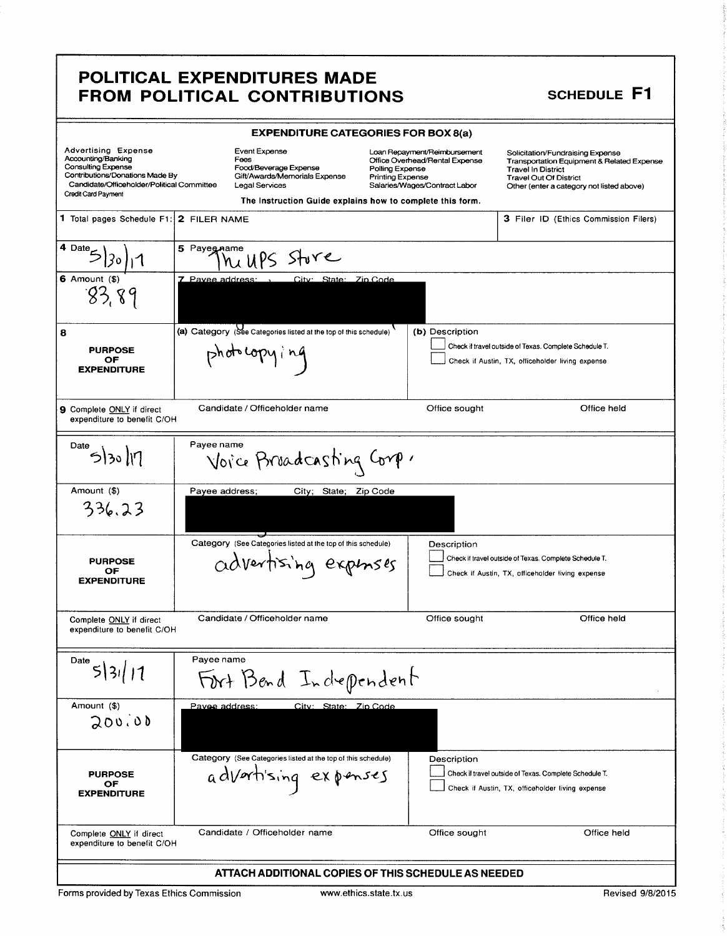# **SCHEDULE F1**

| <b>EXPENDITURE CATEGORIES FOR BOX 8(a)</b>                                                                                                                                            |                                                                                                          |                                                                                                                                                                                                            |                                                                                                                                                                                           |  |  |
|---------------------------------------------------------------------------------------------------------------------------------------------------------------------------------------|----------------------------------------------------------------------------------------------------------|------------------------------------------------------------------------------------------------------------------------------------------------------------------------------------------------------------|-------------------------------------------------------------------------------------------------------------------------------------------------------------------------------------------|--|--|
| Advertising Expense<br>Accounting/Banking<br><b>Consulting Expense</b><br>Contributions/Donations Made By<br>Candidate/Officeholder/Political Committee<br><b>Credit Card Payment</b> | <b>Event Expense</b><br>Fees<br>Food/Beverage Expense<br>Gift/Awards/Memorials Expense<br>Legal Services | Loan Repayment/Reimbursement<br>Office Overhead/Rental Expense<br>Polling Expense<br><b>Printing Expense</b><br>Salaries/Wages/Contract Labor<br>The Instruction Guide explains how to complete this form. | Solicitation/Fundraising Expense<br>Transportation Equipment & Related Expense<br><b>Travel In District</b><br><b>Travel Out Of District</b><br>Other (enter a category not listed above) |  |  |
| 1 Total pages Schedule F1:                                                                                                                                                            | 2 FILER NAME                                                                                             |                                                                                                                                                                                                            | 3 Filer ID (Ethics Commission Filers)                                                                                                                                                     |  |  |
| 4 Date<br>$6$ Amount $(s)$<br>83,89                                                                                                                                                   | 5 Payeg name<br>hi UPS Store<br>7 Pavee address:<br>City: State: Zin Code                                |                                                                                                                                                                                                            |                                                                                                                                                                                           |  |  |
| 8<br><b>PURPOSE</b><br>ОF<br><b>EXPENDITURE</b>                                                                                                                                       | (a) Category (See Categories listed at the top of this schedule)<br>photocopying                         | (b) Description                                                                                                                                                                                            | Check if travel outside of Texas. Complete Schedule T.<br>Check if Austin, TX, officeholder living expense                                                                                |  |  |
| <b>9</b> Complete ONLY if direct<br>expenditure to benefit C/OH                                                                                                                       | Candidate / Officeholder name                                                                            | Office sought                                                                                                                                                                                              | Office held                                                                                                                                                                               |  |  |
| Date<br>53017                                                                                                                                                                         | Payee name<br>Voice Bruadcasting Corp.                                                                   |                                                                                                                                                                                                            |                                                                                                                                                                                           |  |  |
| Amount (\$)<br>336.23                                                                                                                                                                 | Payee address;<br>City; State; Zip Code                                                                  |                                                                                                                                                                                                            |                                                                                                                                                                                           |  |  |
| <b>PURPOSE</b><br>OF<br><b>EXPENDITURE</b>                                                                                                                                            | Category (See Categories listed at the top of this schedule)<br>advertising expinses                     | Description                                                                                                                                                                                                | Check if travel outside of Texas. Complete Schedule T.<br>Check if Austin, TX, officeholder living expense                                                                                |  |  |
| Complete ONLY if direct<br>expenditure to benefit C/OH                                                                                                                                | Candidate / Officeholder name                                                                            | Office sought                                                                                                                                                                                              | Office held                                                                                                                                                                               |  |  |
| Date<br>5 3 /11                                                                                                                                                                       | Payee name<br>Fort Bend Independent                                                                      |                                                                                                                                                                                                            |                                                                                                                                                                                           |  |  |
| Amount (\$)<br>200.00                                                                                                                                                                 | Pavee address:<br>City: State: Zip Code                                                                  |                                                                                                                                                                                                            |                                                                                                                                                                                           |  |  |
| <b>PURPOSE</b><br>OF<br><b>EXPENDITURE</b>                                                                                                                                            | Category (See Categories listed at the top of this schedule)<br>advartising expenses                     | Description                                                                                                                                                                                                | Check if travel outside of Texas. Complete Schedule T.<br>Check if Austin, TX, officeholder living expense                                                                                |  |  |
| Candidate / Officeholder name<br>Office sought<br>Office held<br>Complete ONLY if direct<br>expenditure to benefit C/OH                                                               |                                                                                                          |                                                                                                                                                                                                            |                                                                                                                                                                                           |  |  |
| ATTACH ADDITIONAL COPIES OF THIS SCHEDULE AS NEEDED                                                                                                                                   |                                                                                                          |                                                                                                                                                                                                            |                                                                                                                                                                                           |  |  |